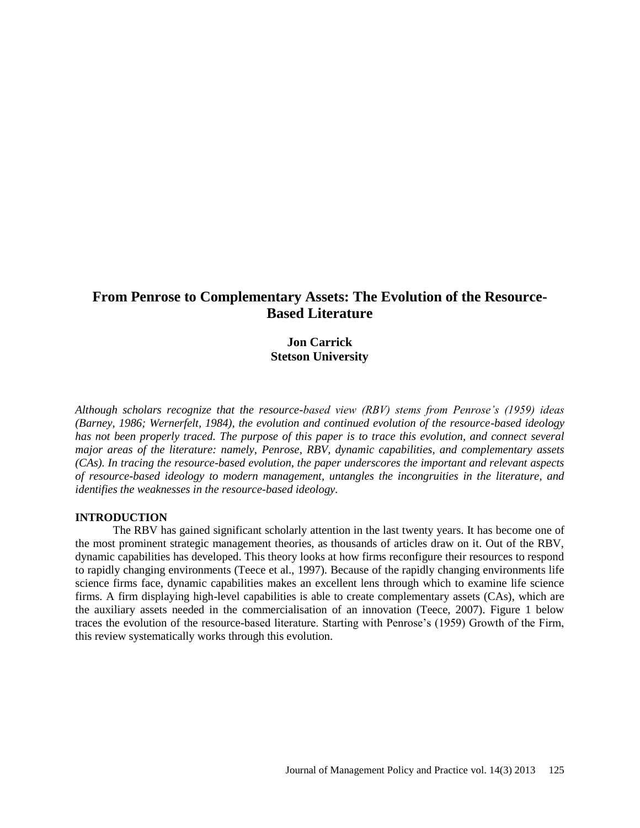# **From Penrose to Complementary Assets: The Evolution of the Resource-Based Literature**

## **Jon Carrick Stetson University**

*Although scholars recognize that the resource-based view (RBV) stems from Penrose's (1959) ideas (Barney, 1986; Wernerfelt, 1984), the evolution and continued evolution of the resource-based ideology has not been properly traced. The purpose of this paper is to trace this evolution, and connect several major areas of the literature: namely, Penrose, RBV, dynamic capabilities, and complementary assets (CAs). In tracing the resource-based evolution, the paper underscores the important and relevant aspects of resource-based ideology to modern management, untangles the incongruities in the literature, and identifies the weaknesses in the resource-based ideology.*

### **INTRODUCTION**

The RBV has gained significant scholarly attention in the last twenty years. It has become one of the most prominent strategic management theories, as thousands of articles draw on it. Out of the RBV, dynamic capabilities has developed. This theory looks at how firms reconfigure their resources to respond to rapidly changing environments (Teece et al., 1997). Because of the rapidly changing environments life science firms face, dynamic capabilities makes an excellent lens through which to examine life science firms. A firm displaying high-level capabilities is able to create complementary assets (CAs), which are the auxiliary assets needed in the commercialisation of an innovation (Teece, 2007). Figure 1 below traces the evolution of the resource-based literature. Starting with Penrose's (1959) Growth of the Firm, this review systematically works through this evolution.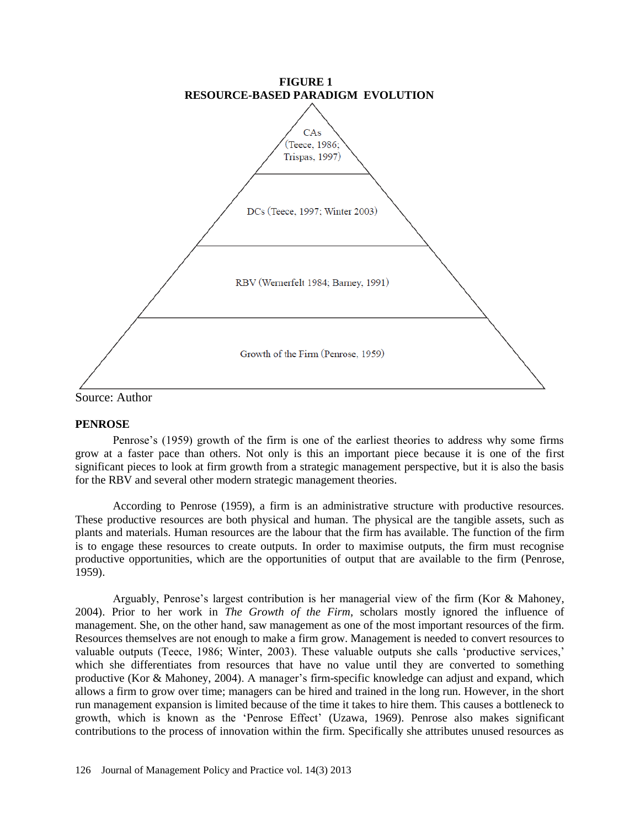

Source: Author

### **PENROSE**

Penrose's (1959) growth of the firm is one of the earliest theories to address why some firms grow at a faster pace than others. Not only is this an important piece because it is one of the first significant pieces to look at firm growth from a strategic management perspective, but it is also the basis for the RBV and several other modern strategic management theories.

According to Penrose (1959), a firm is an administrative structure with productive resources. These productive resources are both physical and human. The physical are the tangible assets, such as plants and materials. Human resources are the labour that the firm has available. The function of the firm is to engage these resources to create outputs. In order to maximise outputs, the firm must recognise productive opportunities, which are the opportunities of output that are available to the firm (Penrose, 1959).

Arguably, Penrose's largest contribution is her managerial view of the firm (Kor & Mahoney, 2004). Prior to her work in *The Growth of the Firm*, scholars mostly ignored the influence of management. She, on the other hand, saw management as one of the most important resources of the firm. Resources themselves are not enough to make a firm grow. Management is needed to convert resources to valuable outputs (Teece, 1986; Winter, 2003). These valuable outputs she calls 'productive services,' which she differentiates from resources that have no value until they are converted to something productive (Kor & Mahoney, 2004). A manager's firm-specific knowledge can adjust and expand, which allows a firm to grow over time; managers can be hired and trained in the long run. However, in the short run management expansion is limited because of the time it takes to hire them. This causes a bottleneck to growth, which is known as the 'Penrose Effect' (Uzawa, 1969). Penrose also makes significant contributions to the process of innovation within the firm. Specifically she attributes unused resources as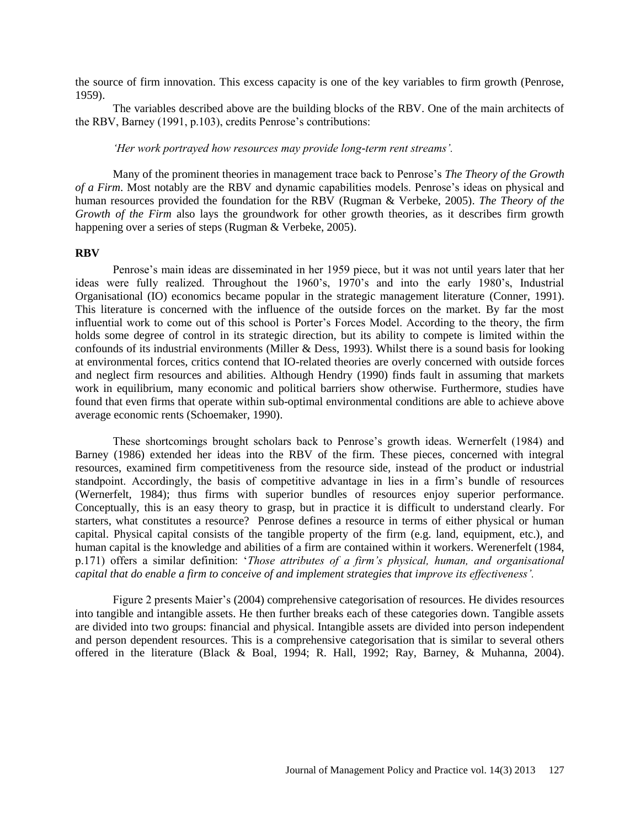the source of firm innovation. This excess capacity is one of the key variables to firm growth (Penrose, 1959).

The variables described above are the building blocks of the RBV. One of the main architects of the RBV, Barney (1991, p.103), credits Penrose's contributions:

*'Her work portrayed how resources may provide long-term rent streams'.*

Many of the prominent theories in management trace back to Penrose's *The Theory of the Growth of a Firm*. Most notably are the RBV and dynamic capabilities models. Penrose's ideas on physical and human resources provided the foundation for the RBV (Rugman & Verbeke, 2005). *The Theory of the Growth of the Firm* also lays the groundwork for other growth theories, as it describes firm growth happening over a series of steps (Rugman & Verbeke, 2005).

#### **RBV**

Penrose's main ideas are disseminated in her 1959 piece, but it was not until years later that her ideas were fully realized. Throughout the 1960's, 1970's and into the early 1980's, Industrial Organisational (IO) economics became popular in the strategic management literature (Conner, 1991). This literature is concerned with the influence of the outside forces on the market. By far the most influential work to come out of this school is Porter's Forces Model. According to the theory, the firm holds some degree of control in its strategic direction, but its ability to compete is limited within the confounds of its industrial environments (Miller & Dess, 1993). Whilst there is a sound basis for looking at environmental forces, critics contend that IO-related theories are overly concerned with outside forces and neglect firm resources and abilities. Although Hendry (1990) finds fault in assuming that markets work in equilibrium, many economic and political barriers show otherwise. Furthermore, studies have found that even firms that operate within sub-optimal environmental conditions are able to achieve above average economic rents (Schoemaker, 1990).

These shortcomings brought scholars back to Penrose's growth ideas. Wernerfelt (1984) and Barney (1986) extended her ideas into the RBV of the firm. These pieces, concerned with integral resources, examined firm competitiveness from the resource side, instead of the product or industrial standpoint. Accordingly, the basis of competitive advantage in lies in a firm's bundle of resources (Wernerfelt, 1984); thus firms with superior bundles of resources enjoy superior performance. Conceptually, this is an easy theory to grasp, but in practice it is difficult to understand clearly. For starters, what constitutes a resource? Penrose defines a resource in terms of either physical or human capital. Physical capital consists of the tangible property of the firm (e.g. land, equipment, etc.), and human capital is the knowledge and abilities of a firm are contained within it workers. Werenerfelt (1984, p.171) offers a similar definition: '*Those attributes of a firm's physical, human, and organisational capital that do enable a firm to conceive of and implement strategies that improve its effectiveness'.*

Figure 2 presents Maier's (2004) comprehensive categorisation of resources. He divides resources into tangible and intangible assets. He then further breaks each of these categories down. Tangible assets are divided into two groups: financial and physical. Intangible assets are divided into person independent and person dependent resources. This is a comprehensive categorisation that is similar to several others offered in the literature (Black & Boal, 1994; R. Hall, 1992; Ray, Barney, & Muhanna, 2004).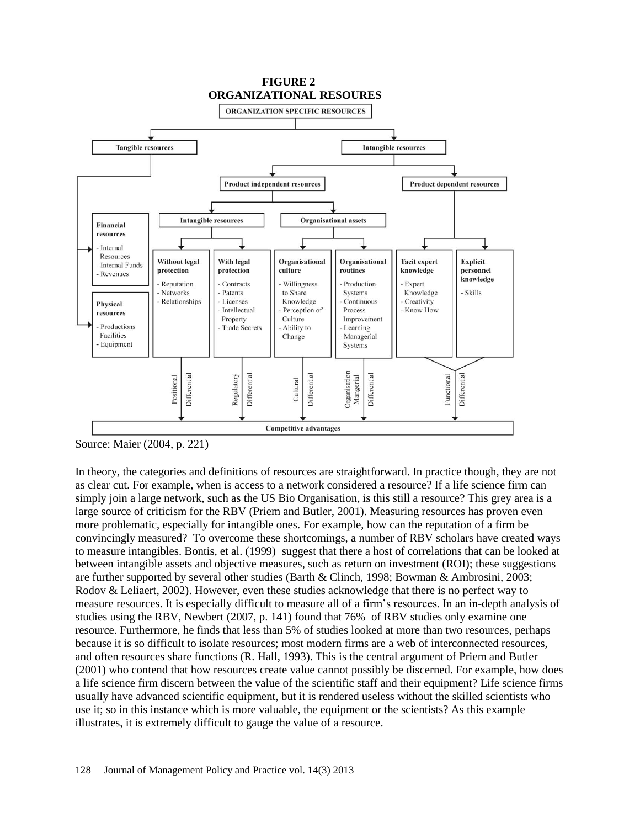

Source: Maier (2004, p. 221)

In theory, the categories and definitions of resources are straightforward. In practice though, they are not as clear cut. For example, when is access to a network considered a resource? If a life science firm can simply join a large network, such as the US Bio Organisation, is this still a resource? This grey area is a large source of criticism for the RBV (Priem and Butler, 2001). Measuring resources has proven even more problematic, especially for intangible ones. For example, how can the reputation of a firm be convincingly measured? To overcome these shortcomings, a number of RBV scholars have created ways to measure intangibles. Bontis, et al. (1999) suggest that there a host of correlations that can be looked at between intangible assets and objective measures, such as return on investment (ROI); these suggestions are further supported by several other studies (Barth & Clinch, 1998; Bowman & Ambrosini, 2003; Rodov & Leliaert, 2002). However, even these studies acknowledge that there is no perfect way to measure resources. It is especially difficult to measure all of a firm's resources. In an in-depth analysis of studies using the RBV, Newbert (2007, p. 141) found that 76% of RBV studies only examine one resource. Furthermore, he finds that less than 5% of studies looked at more than two resources, perhaps because it is so difficult to isolate resources; most modern firms are a web of interconnected resources, and often resources share functions (R. Hall, 1993). This is the central argument of Priem and Butler (2001) who contend that how resources create value cannot possibly be discerned. For example, how does a life science firm discern between the value of the scientific staff and their equipment? Life science firms usually have advanced scientific equipment, but it is rendered useless without the skilled scientists who use it; so in this instance which is more valuable, the equipment or the scientists? As this example illustrates, it is extremely difficult to gauge the value of a resource.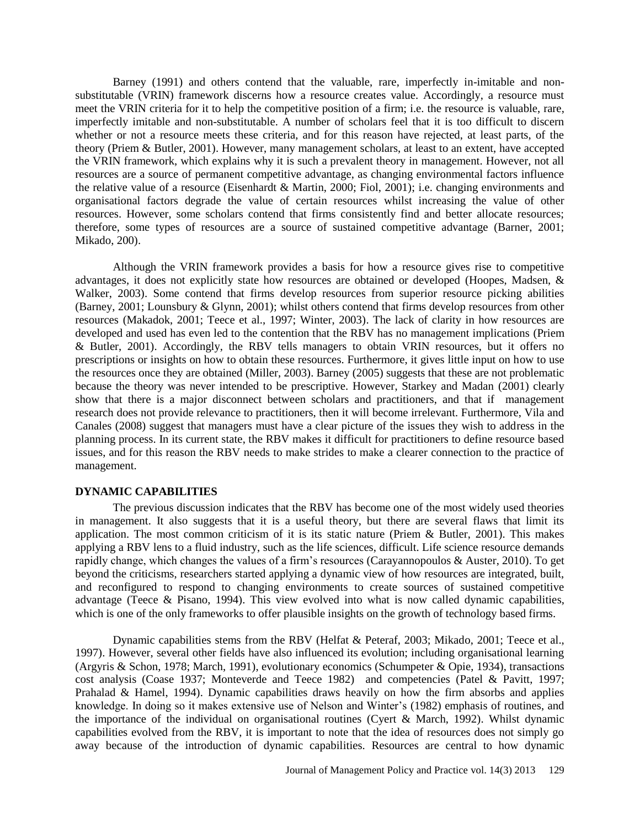Barney (1991) and others contend that the valuable, rare, imperfectly in-imitable and nonsubstitutable (VRIN) framework discerns how a resource creates value. Accordingly, a resource must meet the VRIN criteria for it to help the competitive position of a firm; i.e. the resource is valuable, rare, imperfectly imitable and non-substitutable. A number of scholars feel that it is too difficult to discern whether or not a resource meets these criteria, and for this reason have rejected, at least parts, of the theory (Priem & Butler, 2001). However, many management scholars, at least to an extent, have accepted the VRIN framework, which explains why it is such a prevalent theory in management. However, not all resources are a source of permanent competitive advantage, as changing environmental factors influence the relative value of a resource (Eisenhardt & Martin, 2000; Fiol, 2001); i.e. changing environments and organisational factors degrade the value of certain resources whilst increasing the value of other resources. However, some scholars contend that firms consistently find and better allocate resources; therefore, some types of resources are a source of sustained competitive advantage (Barner, 2001; Mikado, 200).

Although the VRIN framework provides a basis for how a resource gives rise to competitive advantages, it does not explicitly state how resources are obtained or developed (Hoopes, Madsen, & Walker, 2003). Some contend that firms develop resources from superior resource picking abilities (Barney, 2001; Lounsbury & Glynn, 2001); whilst others contend that firms develop resources from other resources (Makadok, 2001; Teece et al., 1997; Winter, 2003). The lack of clarity in how resources are developed and used has even led to the contention that the RBV has no management implications (Priem & Butler, 2001). Accordingly, the RBV tells managers to obtain VRIN resources, but it offers no prescriptions or insights on how to obtain these resources. Furthermore, it gives little input on how to use the resources once they are obtained (Miller, 2003). Barney (2005) suggests that these are not problematic because the theory was never intended to be prescriptive. However, Starkey and Madan (2001) clearly show that there is a major disconnect between scholars and practitioners, and that if management research does not provide relevance to practitioners, then it will become irrelevant. Furthermore, Vila and Canales (2008) suggest that managers must have a clear picture of the issues they wish to address in the planning process. In its current state, the RBV makes it difficult for practitioners to define resource based issues, and for this reason the RBV needs to make strides to make a clearer connection to the practice of management.

### **DYNAMIC CAPABILITIES**

The previous discussion indicates that the RBV has become one of the most widely used theories in management. It also suggests that it is a useful theory, but there are several flaws that limit its application. The most common criticism of it is its static nature (Priem & Butler, 2001). This makes applying a RBV lens to a fluid industry, such as the life sciences, difficult. Life science resource demands rapidly change, which changes the values of a firm's resources (Carayannopoulos & Auster, 2010). To get beyond the criticisms, researchers started applying a dynamic view of how resources are integrated, built, and reconfigured to respond to changing environments to create sources of sustained competitive advantage (Teece & Pisano, 1994). This view evolved into what is now called dynamic capabilities, which is one of the only frameworks to offer plausible insights on the growth of technology based firms.

Dynamic capabilities stems from the RBV (Helfat & Peteraf, 2003; Mikado, 2001; Teece et al., 1997). However, several other fields have also influenced its evolution; including organisational learning (Argyris & Schon, 1978; March, 1991), evolutionary economics (Schumpeter & Opie, 1934), transactions cost analysis (Coase 1937; Monteverde and Teece 1982) and competencies (Patel & Pavitt, 1997; Prahalad & Hamel, 1994). Dynamic capabilities draws heavily on how the firm absorbs and applies knowledge. In doing so it makes extensive use of Nelson and Winter's (1982) emphasis of routines, and the importance of the individual on organisational routines (Cyert & March, 1992). Whilst dynamic capabilities evolved from the RBV, it is important to note that the idea of resources does not simply go away because of the introduction of dynamic capabilities. Resources are central to how dynamic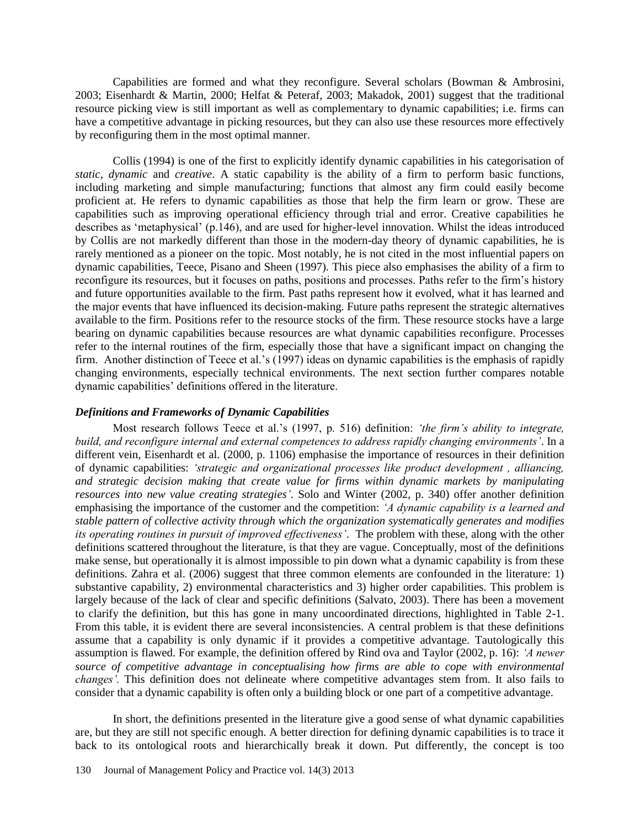Capabilities are formed and what they reconfigure. Several scholars (Bowman & Ambrosini, 2003; Eisenhardt & Martin, 2000; Helfat & Peteraf, 2003; Makadok, 2001) suggest that the traditional resource picking view is still important as well as complementary to dynamic capabilities; i.e. firms can have a competitive advantage in picking resources, but they can also use these resources more effectively by reconfiguring them in the most optimal manner.

Collis (1994) is one of the first to explicitly identify dynamic capabilities in his categorisation of *static*, *dynamic* and *creative*. A static capability is the ability of a firm to perform basic functions, including marketing and simple manufacturing; functions that almost any firm could easily become proficient at. He refers to dynamic capabilities as those that help the firm learn or grow. These are capabilities such as improving operational efficiency through trial and error. Creative capabilities he describes as 'metaphysical' (p.146), and are used for higher-level innovation. Whilst the ideas introduced by Collis are not markedly different than those in the modern-day theory of dynamic capabilities, he is rarely mentioned as a pioneer on the topic. Most notably, he is not cited in the most influential papers on dynamic capabilities, Teece, Pisano and Sheen (1997). This piece also emphasises the ability of a firm to reconfigure its resources, but it focuses on paths, positions and processes. Paths refer to the firm's history and future opportunities available to the firm. Past paths represent how it evolved, what it has learned and the major events that have influenced its decision-making. Future paths represent the strategic alternatives available to the firm. Positions refer to the resource stocks of the firm. These resource stocks have a large bearing on dynamic capabilities because resources are what dynamic capabilities reconfigure. Processes refer to the internal routines of the firm, especially those that have a significant impact on changing the firm. Another distinction of Teece et al.'s (1997) ideas on dynamic capabilities is the emphasis of rapidly changing environments, especially technical environments. The next section further compares notable dynamic capabilities' definitions offered in the literature.

### *Definitions and Frameworks of Dynamic Capabilities*

Most research follows Teece et al.'s (1997, p. 516) definition: *'the firm's ability to integrate, build, and reconfigure internal and external competences to address rapidly changing environments'*. In a different vein, Eisenhardt et al. (2000, p. 1106) emphasise the importance of resources in their definition of dynamic capabilities: *'strategic and organizational processes like product development , alliancing, and strategic decision making that create value for firms within dynamic markets by manipulating resources into new value creating strategies'*. Solo and Winter (2002, p. 340) offer another definition emphasising the importance of the customer and the competition: *'A dynamic capability is a learned and stable pattern of collective activity through which the organization systematically generates and modifies its operating routines in pursuit of improved effectiveness'*. The problem with these, along with the other definitions scattered throughout the literature, is that they are vague. Conceptually, most of the definitions make sense, but operationally it is almost impossible to pin down what a dynamic capability is from these definitions. Zahra et al. (2006) suggest that three common elements are confounded in the literature: 1) substantive capability, 2) environmental characteristics and 3) higher order capabilities. This problem is largely because of the lack of clear and specific definitions (Salvato, 2003). There has been a movement to clarify the definition, but this has gone in many uncoordinated directions, highlighted in Table 2-1. From this table, it is evident there are several inconsistencies. A central problem is that these definitions assume that a capability is only dynamic if it provides a competitive advantage. Tautologically this assumption is flawed. For example, the definition offered by Rind ova and Taylor (2002, p. 16): *'A newer source of competitive advantage in conceptualising how firms are able to cope with environmental changes'.* This definition does not delineate where competitive advantages stem from. It also fails to consider that a dynamic capability is often only a building block or one part of a competitive advantage.

In short, the definitions presented in the literature give a good sense of what dynamic capabilities are, but they are still not specific enough. A better direction for defining dynamic capabilities is to trace it back to its ontological roots and hierarchically break it down. Put differently, the concept is too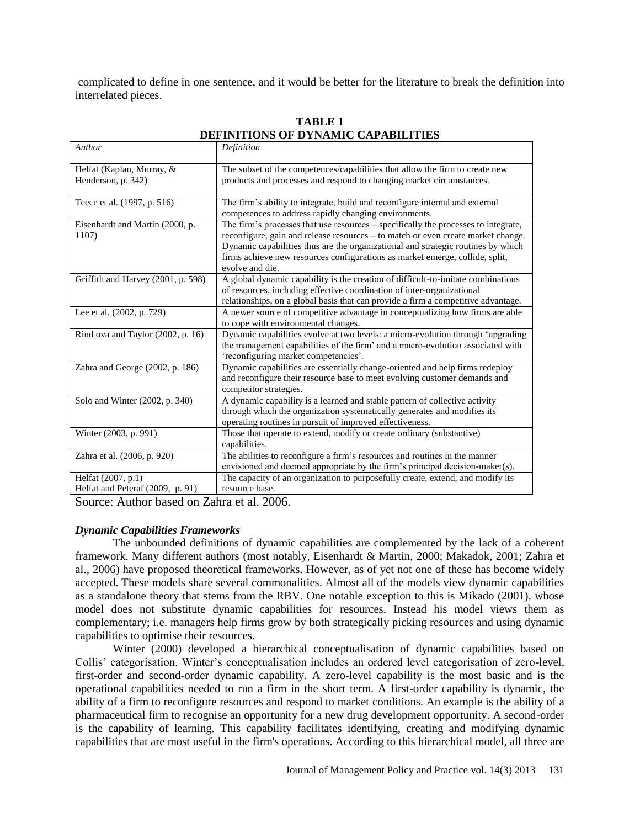complicated to define in one sentence, and it would be better for the literature to break the definition into interrelated pieces.

| Author                                   | Definition                                                                                                                                                             |
|------------------------------------------|------------------------------------------------------------------------------------------------------------------------------------------------------------------------|
| Helfat (Kaplan, Murray, &                | The subset of the competences/capabilities that allow the firm to create new                                                                                           |
| Henderson, p. 342)                       | products and processes and respond to changing market circumstances.                                                                                                   |
| Teece et al. (1997, p. 516)              | The firm's ability to integrate, build and reconfigure internal and external                                                                                           |
|                                          | competences to address rapidly changing environments.                                                                                                                  |
| Eisenhardt and Martin (2000, p.<br>1107) | The firm's processes that use resources – specifically the processes to integrate,<br>reconfigure, gain and release resources - to match or even create market change. |
|                                          | Dynamic capabilities thus are the organizational and strategic routines by which                                                                                       |
|                                          | firms achieve new resources configurations as market emerge, collide, split,                                                                                           |
|                                          | evolve and die.                                                                                                                                                        |
| Griffith and Harvey (2001, p. 598)       | A global dynamic capability is the creation of difficult-to-imitate combinations                                                                                       |
|                                          | of resources, including effective coordination of inter-organizational                                                                                                 |
|                                          | relationships, on a global basis that can provide a firm a competitive advantage.                                                                                      |
| Lee et al. (2002, p. 729)                | A newer source of competitive advantage in conceptualizing how firms are able                                                                                          |
|                                          | to cope with environmental changes.                                                                                                                                    |
| Rind ova and Taylor (2002, p. 16)        | Dynamic capabilities evolve at two levels: a micro-evolution through 'upgrading                                                                                        |
|                                          | the management capabilities of the firm' and a macro-evolution associated with                                                                                         |
|                                          | 'reconfiguring market competencies'.                                                                                                                                   |
| Zahra and George (2002, p. 186)          | Dynamic capabilities are essentially change-oriented and help firms redeploy                                                                                           |
|                                          | and reconfigure their resource base to meet evolving customer demands and                                                                                              |
|                                          | competitor strategies.                                                                                                                                                 |
| Solo and Winter (2002, p. 340)           | A dynamic capability is a learned and stable pattern of collective activity                                                                                            |
|                                          | through which the organization systematically generates and modifies its                                                                                               |
|                                          | operating routines in pursuit of improved effectiveness.                                                                                                               |
| Winter (2003, p. 991)                    | Those that operate to extend, modify or create ordinary (substantive)                                                                                                  |
|                                          | capabilities.                                                                                                                                                          |
| Zahra et al. (2006, p. 920)              | The abilities to reconfigure a firm's resources and routines in the manner                                                                                             |
|                                          | envisioned and deemed appropriate by the firm's principal decision-maker(s).                                                                                           |
| Helfat (2007, p.1)                       | The capacity of an organization to purposefully create, extend, and modify its                                                                                         |
| Helfat and Peteraf (2009, p. 91)         | resource base.                                                                                                                                                         |

## **TABLE 1 DEFINITIONS OF DYNAMIC CAPABILITIES**

Source: Author based on Zahra et al. 2006.

### *Dynamic Capabilities Frameworks*

The unbounded definitions of dynamic capabilities are complemented by the lack of a coherent framework. Many different authors (most notably, Eisenhardt & Martin, 2000; Makadok, 2001; Zahra et al., 2006) have proposed theoretical frameworks. However, as of yet not one of these has become widely accepted. These models share several commonalities. Almost all of the models view dynamic capabilities as a standalone theory that stems from the RBV. One notable exception to this is Mikado (2001), whose model does not substitute dynamic capabilities for resources. Instead his model views them as complementary; i.e. managers help firms grow by both strategically picking resources and using dynamic capabilities to optimise their resources.

Winter (2000) developed a hierarchical conceptualisation of dynamic capabilities based on Collis' categorisation. Winter's conceptualisation includes an ordered level categorisation of zero-level, first-order and second-order dynamic capability. A zero-level capability is the most basic and is the operational capabilities needed to run a firm in the short term. A first-order capability is dynamic, the ability of a firm to reconfigure resources and respond to market conditions. An example is the ability of a pharmaceutical firm to recognise an opportunity for a new drug development opportunity. A second-order is the capability of learning. This capability facilitates identifying, creating and modifying dynamic capabilities that are most useful in the firm's operations. According to this hierarchical model, all three are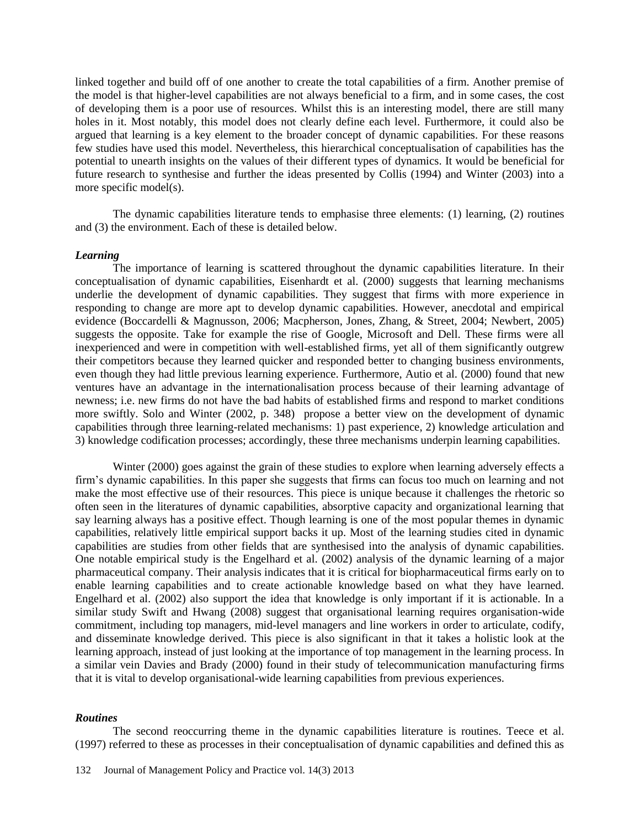linked together and build off of one another to create the total capabilities of a firm. Another premise of the model is that higher-level capabilities are not always beneficial to a firm, and in some cases, the cost of developing them is a poor use of resources. Whilst this is an interesting model, there are still many holes in it. Most notably, this model does not clearly define each level. Furthermore, it could also be argued that learning is a key element to the broader concept of dynamic capabilities. For these reasons few studies have used this model. Nevertheless, this hierarchical conceptualisation of capabilities has the potential to unearth insights on the values of their different types of dynamics. It would be beneficial for future research to synthesise and further the ideas presented by Collis (1994) and Winter (2003) into a more specific model(s).

The dynamic capabilities literature tends to emphasise three elements: (1) learning, (2) routines and (3) the environment. Each of these is detailed below.

#### *Learning*

The importance of learning is scattered throughout the dynamic capabilities literature. In their conceptualisation of dynamic capabilities, Eisenhardt et al. (2000) suggests that learning mechanisms underlie the development of dynamic capabilities. They suggest that firms with more experience in responding to change are more apt to develop dynamic capabilities. However, anecdotal and empirical evidence (Boccardelli & Magnusson, 2006; Macpherson, Jones, Zhang, & Street, 2004; Newbert, 2005) suggests the opposite. Take for example the rise of Google, Microsoft and Dell. These firms were all inexperienced and were in competition with well-established firms, yet all of them significantly outgrew their competitors because they learned quicker and responded better to changing business environments, even though they had little previous learning experience. Furthermore, Autio et al. (2000) found that new ventures have an advantage in the internationalisation process because of their learning advantage of newness; i.e. new firms do not have the bad habits of established firms and respond to market conditions more swiftly. Solo and Winter (2002, p. 348) propose a better view on the development of dynamic capabilities through three learning-related mechanisms: 1) past experience, 2) knowledge articulation and 3) knowledge codification processes; accordingly, these three mechanisms underpin learning capabilities.

Winter (2000) goes against the grain of these studies to explore when learning adversely effects a firm's dynamic capabilities. In this paper she suggests that firms can focus too much on learning and not make the most effective use of their resources. This piece is unique because it challenges the rhetoric so often seen in the literatures of dynamic capabilities, absorptive capacity and organizational learning that say learning always has a positive effect. Though learning is one of the most popular themes in dynamic capabilities, relatively little empirical support backs it up. Most of the learning studies cited in dynamic capabilities are studies from other fields that are synthesised into the analysis of dynamic capabilities. One notable empirical study is the Engelhard et al. (2002) analysis of the dynamic learning of a major pharmaceutical company. Their analysis indicates that it is critical for biopharmaceutical firms early on to enable learning capabilities and to create actionable knowledge based on what they have learned. Engelhard et al. (2002) also support the idea that knowledge is only important if it is actionable. In a similar study Swift and Hwang (2008) suggest that organisational learning requires organisation-wide commitment, including top managers, mid-level managers and line workers in order to articulate, codify, and disseminate knowledge derived. This piece is also significant in that it takes a holistic look at the learning approach, instead of just looking at the importance of top management in the learning process. In a similar vein Davies and Brady (2000) found in their study of telecommunication manufacturing firms that it is vital to develop organisational-wide learning capabilities from previous experiences.

#### *Routines*

The second reoccurring theme in the dynamic capabilities literature is routines. Teece et al. (1997) referred to these as processes in their conceptualisation of dynamic capabilities and defined this as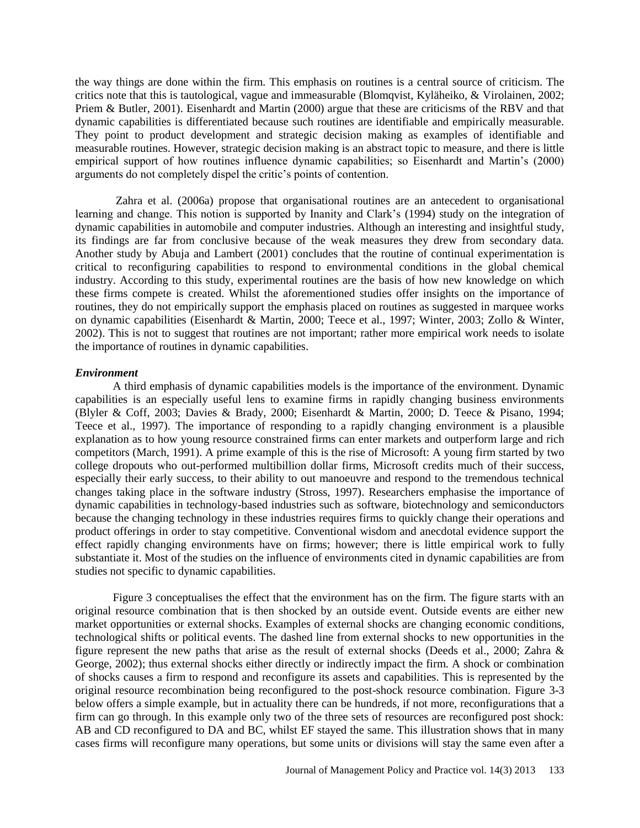the way things are done within the firm. This emphasis on routines is a central source of criticism. The critics note that this is tautological, vague and immeasurable (Blomqvist, Kyläheiko, & Virolainen, 2002; Priem & Butler, 2001). Eisenhardt and Martin (2000) argue that these are criticisms of the RBV and that dynamic capabilities is differentiated because such routines are identifiable and empirically measurable. They point to product development and strategic decision making as examples of identifiable and measurable routines. However, strategic decision making is an abstract topic to measure, and there is little empirical support of how routines influence dynamic capabilities; so Eisenhardt and Martin's (2000) arguments do not completely dispel the critic's points of contention.

Zahra et al. (2006a) propose that organisational routines are an antecedent to organisational learning and change. This notion is supported by Inanity and Clark's (1994) study on the integration of dynamic capabilities in automobile and computer industries. Although an interesting and insightful study, its findings are far from conclusive because of the weak measures they drew from secondary data. Another study by Abuja and Lambert (2001) concludes that the routine of continual experimentation is critical to reconfiguring capabilities to respond to environmental conditions in the global chemical industry. According to this study, experimental routines are the basis of how new knowledge on which these firms compete is created. Whilst the aforementioned studies offer insights on the importance of routines, they do not empirically support the emphasis placed on routines as suggested in marquee works on dynamic capabilities (Eisenhardt & Martin, 2000; Teece et al., 1997; Winter, 2003; Zollo & Winter, 2002). This is not to suggest that routines are not important; rather more empirical work needs to isolate the importance of routines in dynamic capabilities.

### *Environment*

A third emphasis of dynamic capabilities models is the importance of the environment. Dynamic capabilities is an especially useful lens to examine firms in rapidly changing business environments (Blyler & Coff, 2003; Davies & Brady, 2000; Eisenhardt & Martin, 2000; D. Teece & Pisano, 1994; Teece et al., 1997). The importance of responding to a rapidly changing environment is a plausible explanation as to how young resource constrained firms can enter markets and outperform large and rich competitors (March, 1991). A prime example of this is the rise of Microsoft: A young firm started by two college dropouts who out-performed multibillion dollar firms, Microsoft credits much of their success, especially their early success, to their ability to out manoeuvre and respond to the tremendous technical changes taking place in the software industry (Stross, 1997). Researchers emphasise the importance of dynamic capabilities in technology-based industries such as software, biotechnology and semiconductors because the changing technology in these industries requires firms to quickly change their operations and product offerings in order to stay competitive. Conventional wisdom and anecdotal evidence support the effect rapidly changing environments have on firms; however; there is little empirical work to fully substantiate it. Most of the studies on the influence of environments cited in dynamic capabilities are from studies not specific to dynamic capabilities.

Figure 3 conceptualises the effect that the environment has on the firm. The figure starts with an original resource combination that is then shocked by an outside event. Outside events are either new market opportunities or external shocks. Examples of external shocks are changing economic conditions, technological shifts or political events. The dashed line from external shocks to new opportunities in the figure represent the new paths that arise as the result of external shocks (Deeds et al., 2000; Zahra & George, 2002); thus external shocks either directly or indirectly impact the firm. A shock or combination of shocks causes a firm to respond and reconfigure its assets and capabilities. This is represented by the original resource recombination being reconfigured to the post-shock resource combination. Figure 3-3 below offers a simple example, but in actuality there can be hundreds, if not more, reconfigurations that a firm can go through. In this example only two of the three sets of resources are reconfigured post shock: AB and CD reconfigured to DA and BC, whilst EF stayed the same. This illustration shows that in many cases firms will reconfigure many operations, but some units or divisions will stay the same even after a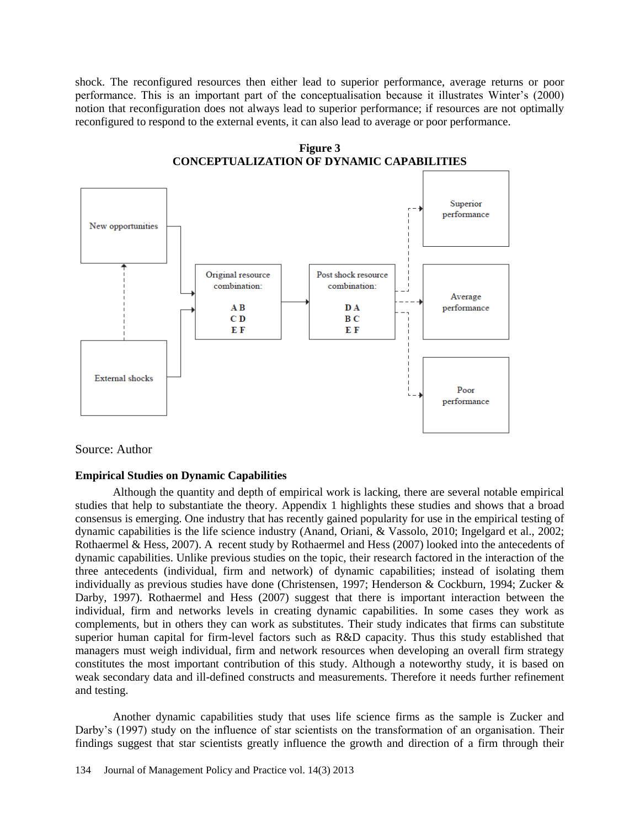shock. The reconfigured resources then either lead to superior performance, average returns or poor performance. This is an important part of the conceptualisation because it illustrates Winter's (2000) notion that reconfiguration does not always lead to superior performance; if resources are not optimally reconfigured to respond to the external events, it can also lead to average or poor performance.





Source: Author

### **Empirical Studies on Dynamic Capabilities**

Although the quantity and depth of empirical work is lacking, there are several notable empirical studies that help to substantiate the theory. Appendix 1 highlights these studies and shows that a broad consensus is emerging. One industry that has recently gained popularity for use in the empirical testing of dynamic capabilities is the life science industry (Anand, Oriani, & Vassolo, 2010; Ingelgard et al., 2002; Rothaermel & Hess, 2007). A recent study by Rothaermel and Hess (2007) looked into the antecedents of dynamic capabilities. Unlike previous studies on the topic, their research factored in the interaction of the three antecedents (individual, firm and network) of dynamic capabilities; instead of isolating them individually as previous studies have done (Christensen, 1997; Henderson & Cockburn, 1994; Zucker & Darby, 1997). Rothaermel and Hess (2007) suggest that there is important interaction between the individual, firm and networks levels in creating dynamic capabilities. In some cases they work as complements, but in others they can work as substitutes. Their study indicates that firms can substitute superior human capital for firm-level factors such as R&D capacity. Thus this study established that managers must weigh individual, firm and network resources when developing an overall firm strategy constitutes the most important contribution of this study. Although a noteworthy study, it is based on weak secondary data and ill-defined constructs and measurements. Therefore it needs further refinement and testing.

Another dynamic capabilities study that uses life science firms as the sample is Zucker and Darby's (1997) study on the influence of star scientists on the transformation of an organisation. Their findings suggest that star scientists greatly influence the growth and direction of a firm through their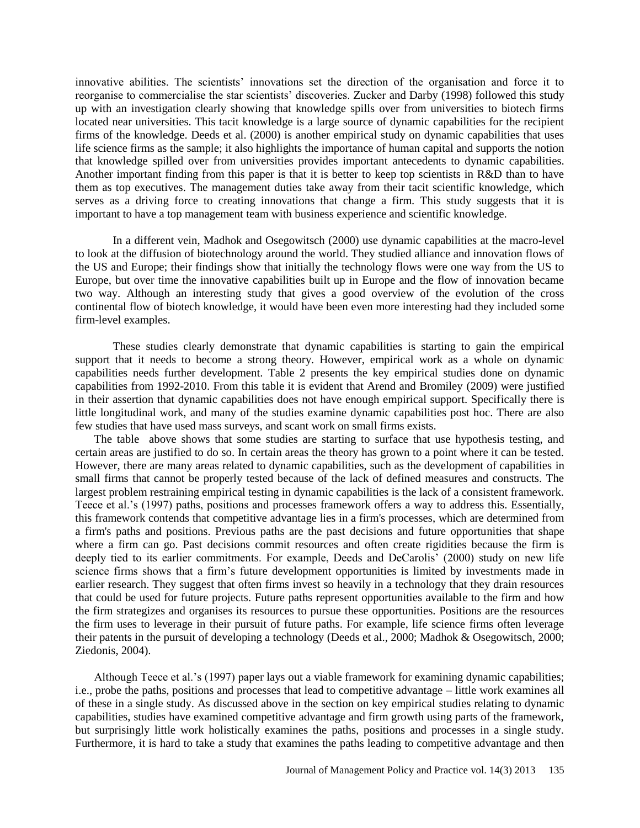innovative abilities. The scientists' innovations set the direction of the organisation and force it to reorganise to commercialise the star scientists' discoveries. Zucker and Darby (1998) followed this study up with an investigation clearly showing that knowledge spills over from universities to biotech firms located near universities. This tacit knowledge is a large source of dynamic capabilities for the recipient firms of the knowledge. Deeds et al. (2000) is another empirical study on dynamic capabilities that uses life science firms as the sample; it also highlights the importance of human capital and supports the notion that knowledge spilled over from universities provides important antecedents to dynamic capabilities. Another important finding from this paper is that it is better to keep top scientists in R&D than to have them as top executives. The management duties take away from their tacit scientific knowledge, which serves as a driving force to creating innovations that change a firm. This study suggests that it is important to have a top management team with business experience and scientific knowledge.

In a different vein, Madhok and Osegowitsch (2000) use dynamic capabilities at the macro-level to look at the diffusion of biotechnology around the world. They studied alliance and innovation flows of the US and Europe; their findings show that initially the technology flows were one way from the US to Europe, but over time the innovative capabilities built up in Europe and the flow of innovation became two way. Although an interesting study that gives a good overview of the evolution of the cross continental flow of biotech knowledge, it would have been even more interesting had they included some firm-level examples.

These studies clearly demonstrate that dynamic capabilities is starting to gain the empirical support that it needs to become a strong theory. However, empirical work as a whole on dynamic capabilities needs further development. Table 2 presents the key empirical studies done on dynamic capabilities from 1992-2010. From this table it is evident that Arend and Bromiley (2009) were justified in their assertion that dynamic capabilities does not have enough empirical support. Specifically there is little longitudinal work, and many of the studies examine dynamic capabilities post hoc. There are also few studies that have used mass surveys, and scant work on small firms exists.

The table above shows that some studies are starting to surface that use hypothesis testing, and certain areas are justified to do so. In certain areas the theory has grown to a point where it can be tested. However, there are many areas related to dynamic capabilities, such as the development of capabilities in small firms that cannot be properly tested because of the lack of defined measures and constructs. The largest problem restraining empirical testing in dynamic capabilities is the lack of a consistent framework. Teece et al.'s (1997) paths, positions and processes framework offers a way to address this. Essentially, this framework contends that competitive advantage lies in a firm's processes, which are determined from a firm's paths and positions. Previous paths are the past decisions and future opportunities that shape where a firm can go. Past decisions commit resources and often create rigidities because the firm is deeply tied to its earlier commitments. For example, Deeds and DeCarolis' (2000) study on new life science firms shows that a firm's future development opportunities is limited by investments made in earlier research. They suggest that often firms invest so heavily in a technology that they drain resources that could be used for future projects. Future paths represent opportunities available to the firm and how the firm strategizes and organises its resources to pursue these opportunities. Positions are the resources the firm uses to leverage in their pursuit of future paths. For example, life science firms often leverage their patents in the pursuit of developing a technology (Deeds et al., 2000; Madhok & Osegowitsch, 2000; Ziedonis, 2004).

Although Teece et al.'s (1997) paper lays out a viable framework for examining dynamic capabilities; i.e., probe the paths, positions and processes that lead to competitive advantage – little work examines all of these in a single study. As discussed above in the section on key empirical studies relating to dynamic capabilities, studies have examined competitive advantage and firm growth using parts of the framework, but surprisingly little work holistically examines the paths, positions and processes in a single study. Furthermore, it is hard to take a study that examines the paths leading to competitive advantage and then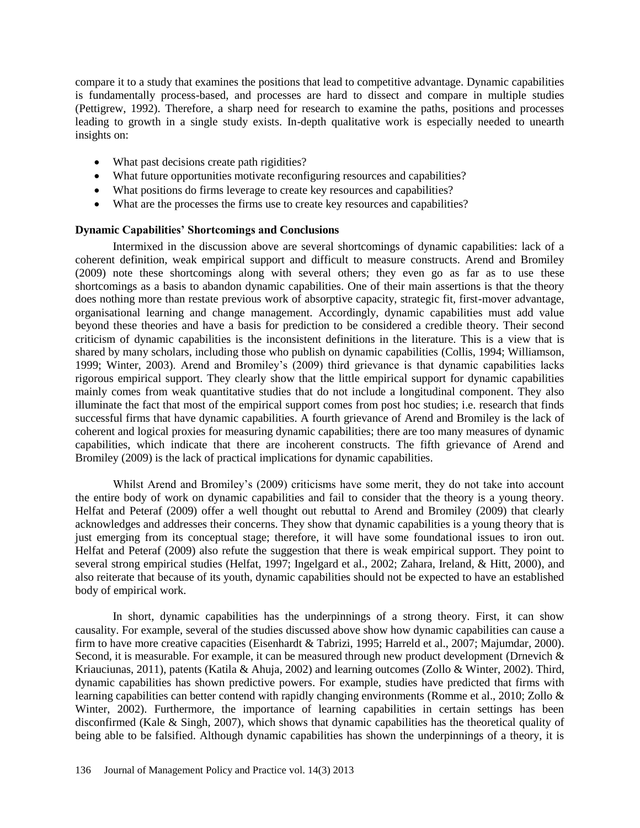compare it to a study that examines the positions that lead to competitive advantage. Dynamic capabilities is fundamentally process-based, and processes are hard to dissect and compare in multiple studies (Pettigrew, 1992). Therefore, a sharp need for research to examine the paths, positions and processes leading to growth in a single study exists. In-depth qualitative work is especially needed to unearth insights on:

- What past decisions create path rigidities?
- What future opportunities motivate reconfiguring resources and capabilities?
- What positions do firms leverage to create key resources and capabilities?
- What are the processes the firms use to create key resources and capabilities?

### **Dynamic Capabilities' Shortcomings and Conclusions**

Intermixed in the discussion above are several shortcomings of dynamic capabilities: lack of a coherent definition, weak empirical support and difficult to measure constructs. Arend and Bromiley (2009) note these shortcomings along with several others; they even go as far as to use these shortcomings as a basis to abandon dynamic capabilities. One of their main assertions is that the theory does nothing more than restate previous work of absorptive capacity, strategic fit, first-mover advantage, organisational learning and change management. Accordingly, dynamic capabilities must add value beyond these theories and have a basis for prediction to be considered a credible theory. Their second criticism of dynamic capabilities is the inconsistent definitions in the literature. This is a view that is shared by many scholars, including those who publish on dynamic capabilities (Collis, 1994; Williamson, 1999; Winter, 2003). Arend and Bromiley's (2009) third grievance is that dynamic capabilities lacks rigorous empirical support. They clearly show that the little empirical support for dynamic capabilities mainly comes from weak quantitative studies that do not include a longitudinal component. They also illuminate the fact that most of the empirical support comes from post hoc studies; i.e. research that finds successful firms that have dynamic capabilities. A fourth grievance of Arend and Bromiley is the lack of coherent and logical proxies for measuring dynamic capabilities; there are too many measures of dynamic capabilities, which indicate that there are incoherent constructs. The fifth grievance of Arend and Bromiley (2009) is the lack of practical implications for dynamic capabilities.

Whilst Arend and Bromiley's (2009) criticisms have some merit, they do not take into account the entire body of work on dynamic capabilities and fail to consider that the theory is a young theory. Helfat and Peteraf (2009) offer a well thought out rebuttal to Arend and Bromiley (2009) that clearly acknowledges and addresses their concerns. They show that dynamic capabilities is a young theory that is just emerging from its conceptual stage; therefore, it will have some foundational issues to iron out. Helfat and Peteraf (2009) also refute the suggestion that there is weak empirical support. They point to several strong empirical studies (Helfat, 1997; Ingelgard et al., 2002; Zahara, Ireland, & Hitt, 2000), and also reiterate that because of its youth, dynamic capabilities should not be expected to have an established body of empirical work.

In short, dynamic capabilities has the underpinnings of a strong theory. First, it can show causality. For example, several of the studies discussed above show how dynamic capabilities can cause a firm to have more creative capacities (Eisenhardt & Tabrizi, 1995; Harreld et al., 2007; Majumdar, 2000). Second, it is measurable. For example, it can be measured through new product development (Drnevich & Kriauciunas, 2011), patents (Katila & Ahuja, 2002) and learning outcomes (Zollo & Winter, 2002). Third, dynamic capabilities has shown predictive powers. For example, studies have predicted that firms with learning capabilities can better contend with rapidly changing environments (Romme et al., 2010; Zollo & Winter, 2002). Furthermore, the importance of learning capabilities in certain settings has been disconfirmed (Kale & Singh, 2007), which shows that dynamic capabilities has the theoretical quality of being able to be falsified. Although dynamic capabilities has shown the underpinnings of a theory, it is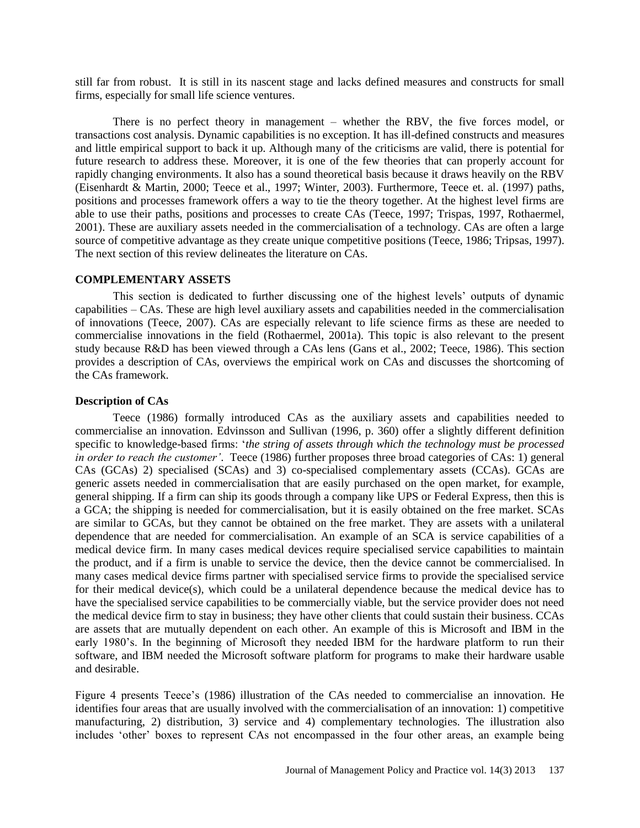still far from robust. It is still in its nascent stage and lacks defined measures and constructs for small firms, especially for small life science ventures.

There is no perfect theory in management – whether the RBV, the five forces model, or transactions cost analysis. Dynamic capabilities is no exception. It has ill-defined constructs and measures and little empirical support to back it up. Although many of the criticisms are valid, there is potential for future research to address these. Moreover, it is one of the few theories that can properly account for rapidly changing environments. It also has a sound theoretical basis because it draws heavily on the RBV (Eisenhardt & Martin, 2000; Teece et al., 1997; Winter, 2003). Furthermore, Teece et. al. (1997) paths, positions and processes framework offers a way to tie the theory together. At the highest level firms are able to use their paths, positions and processes to create CAs (Teece, 1997; Trispas, 1997, Rothaermel, 2001). These are auxiliary assets needed in the commercialisation of a technology. CAs are often a large source of competitive advantage as they create unique competitive positions (Teece, 1986; Tripsas, 1997). The next section of this review delineates the literature on CAs.

### **COMPLEMENTARY ASSETS**

This section is dedicated to further discussing one of the highest levels' outputs of dynamic capabilities – CAs. These are high level auxiliary assets and capabilities needed in the commercialisation of innovations (Teece, 2007). CAs are especially relevant to life science firms as these are needed to commercialise innovations in the field (Rothaermel, 2001a). This topic is also relevant to the present study because R&D has been viewed through a CAs lens (Gans et al., 2002; Teece, 1986). This section provides a description of CAs, overviews the empirical work on CAs and discusses the shortcoming of the CAs framework.

### **Description of CAs**

Teece (1986) formally introduced CAs as the auxiliary assets and capabilities needed to commercialise an innovation. Edvinsson and Sullivan (1996, p. 360) offer a slightly different definition specific to knowledge-based firms: '*the string of assets through which the technology must be processed in order to reach the customer'*. Teece (1986) further proposes three broad categories of CAs: 1) general CAs (GCAs) 2) specialised (SCAs) and 3) co-specialised complementary assets (CCAs). GCAs are generic assets needed in commercialisation that are easily purchased on the open market, for example, general shipping. If a firm can ship its goods through a company like UPS or Federal Express, then this is a GCA; the shipping is needed for commercialisation, but it is easily obtained on the free market. SCAs are similar to GCAs, but they cannot be obtained on the free market. They are assets with a unilateral dependence that are needed for commercialisation. An example of an SCA is service capabilities of a medical device firm. In many cases medical devices require specialised service capabilities to maintain the product, and if a firm is unable to service the device, then the device cannot be commercialised. In many cases medical device firms partner with specialised service firms to provide the specialised service for their medical device(s), which could be a unilateral dependence because the medical device has to have the specialised service capabilities to be commercially viable, but the service provider does not need the medical device firm to stay in business; they have other clients that could sustain their business. CCAs are assets that are mutually dependent on each other. An example of this is Microsoft and IBM in the early 1980's. In the beginning of Microsoft they needed IBM for the hardware platform to run their software, and IBM needed the Microsoft software platform for programs to make their hardware usable and desirable.

Figure 4 presents Teece's (1986) illustration of the CAs needed to commercialise an innovation. He identifies four areas that are usually involved with the commercialisation of an innovation: 1) competitive manufacturing, 2) distribution, 3) service and 4) complementary technologies. The illustration also includes 'other' boxes to represent CAs not encompassed in the four other areas, an example being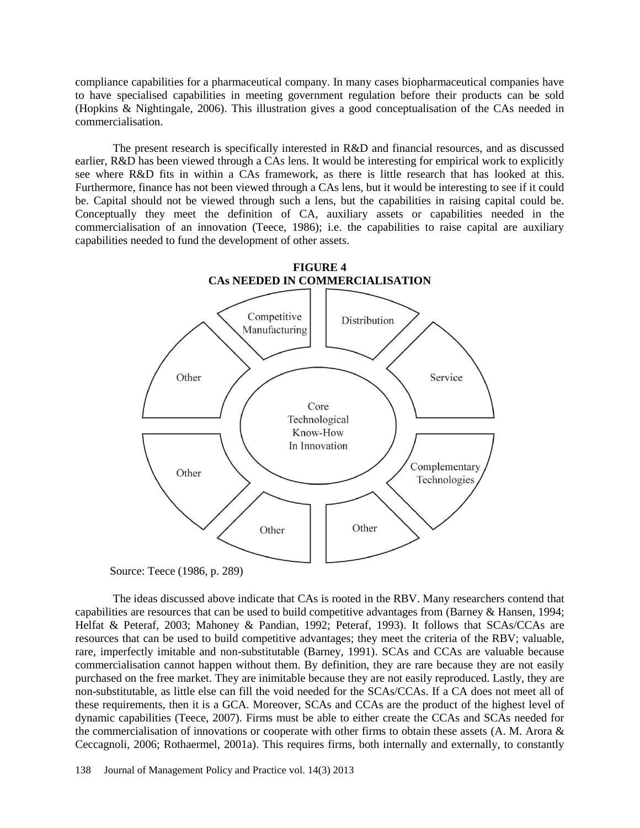compliance capabilities for a pharmaceutical company. In many cases biopharmaceutical companies have to have specialised capabilities in meeting government regulation before their products can be sold (Hopkins & Nightingale, 2006). This illustration gives a good conceptualisation of the CAs needed in commercialisation.

The present research is specifically interested in R&D and financial resources, and as discussed earlier, R&D has been viewed through a CAs lens. It would be interesting for empirical work to explicitly see where R&D fits in within a CAs framework, as there is little research that has looked at this. Furthermore, finance has not been viewed through a CAs lens, but it would be interesting to see if it could be. Capital should not be viewed through such a lens, but the capabilities in raising capital could be. Conceptually they meet the definition of CA, auxiliary assets or capabilities needed in the commercialisation of an innovation (Teece, 1986); i.e. the capabilities to raise capital are auxiliary capabilities needed to fund the development of other assets.



Source: Teece (1986, p. 289)

The ideas discussed above indicate that CAs is rooted in the RBV. Many researchers contend that capabilities are resources that can be used to build competitive advantages from (Barney & Hansen, 1994; Helfat & Peteraf, 2003; Mahoney & Pandian, 1992; Peteraf, 1993). It follows that SCAs/CCAs are resources that can be used to build competitive advantages; they meet the criteria of the RBV; valuable, rare, imperfectly imitable and non-substitutable (Barney, 1991). SCAs and CCAs are valuable because commercialisation cannot happen without them. By definition, they are rare because they are not easily purchased on the free market. They are inimitable because they are not easily reproduced. Lastly, they are non-substitutable, as little else can fill the void needed for the SCAs/CCAs. If a CA does not meet all of these requirements, then it is a GCA. Moreover, SCAs and CCAs are the product of the highest level of dynamic capabilities (Teece, 2007). Firms must be able to either create the CCAs and SCAs needed for the commercialisation of innovations or cooperate with other firms to obtain these assets (A. M. Arora & Ceccagnoli, 2006; Rothaermel, 2001a). This requires firms, both internally and externally, to constantly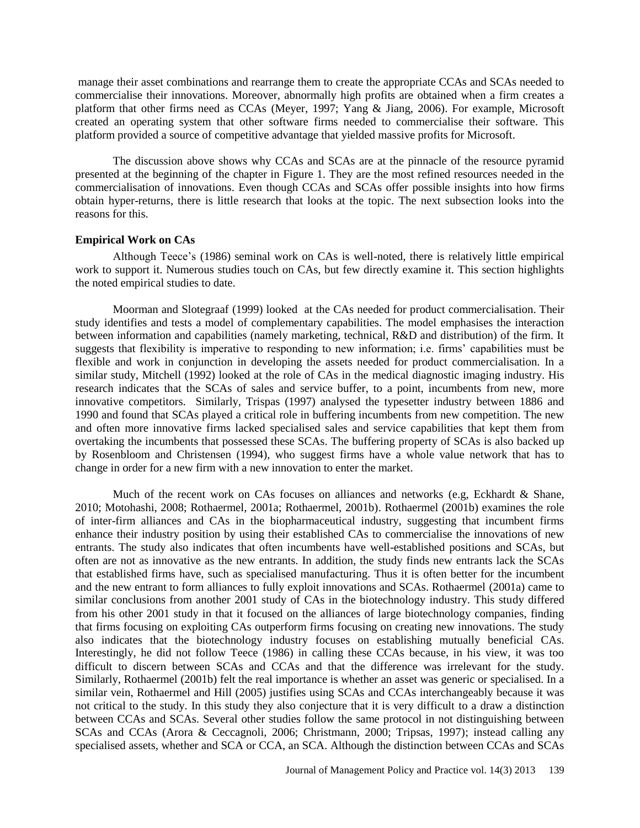manage their asset combinations and rearrange them to create the appropriate CCAs and SCAs needed to commercialise their innovations. Moreover, abnormally high profits are obtained when a firm creates a platform that other firms need as CCAs (Meyer, 1997; Yang & Jiang, 2006). For example, Microsoft created an operating system that other software firms needed to commercialise their software. This platform provided a source of competitive advantage that yielded massive profits for Microsoft.

The discussion above shows why CCAs and SCAs are at the pinnacle of the resource pyramid presented at the beginning of the chapter in Figure 1. They are the most refined resources needed in the commercialisation of innovations. Even though CCAs and SCAs offer possible insights into how firms obtain hyper-returns, there is little research that looks at the topic. The next subsection looks into the reasons for this.

### **Empirical Work on CAs**

Although Teece's (1986) seminal work on CAs is well-noted, there is relatively little empirical work to support it. Numerous studies touch on CAs, but few directly examine it. This section highlights the noted empirical studies to date.

Moorman and Slotegraaf (1999) looked at the CAs needed for product commercialisation. Their study identifies and tests a model of complementary capabilities. The model emphasises the interaction between information and capabilities (namely marketing, technical, R&D and distribution) of the firm. It suggests that flexibility is imperative to responding to new information; i.e. firms' capabilities must be flexible and work in conjunction in developing the assets needed for product commercialisation. In a similar study, Mitchell (1992) looked at the role of CAs in the medical diagnostic imaging industry. His research indicates that the SCAs of sales and service buffer, to a point, incumbents from new, more innovative competitors. Similarly, Trispas (1997) analysed the typesetter industry between 1886 and 1990 and found that SCAs played a critical role in buffering incumbents from new competition. The new and often more innovative firms lacked specialised sales and service capabilities that kept them from overtaking the incumbents that possessed these SCAs. The buffering property of SCAs is also backed up by Rosenbloom and Christensen (1994), who suggest firms have a whole value network that has to change in order for a new firm with a new innovation to enter the market.

Much of the recent work on CAs focuses on alliances and networks (e.g, Eckhardt & Shane, 2010; Motohashi, 2008; Rothaermel, 2001a; Rothaermel, 2001b). Rothaermel (2001b) examines the role of inter-firm alliances and CAs in the biopharmaceutical industry, suggesting that incumbent firms enhance their industry position by using their established CAs to commercialise the innovations of new entrants. The study also indicates that often incumbents have well-established positions and SCAs, but often are not as innovative as the new entrants. In addition, the study finds new entrants lack the SCAs that established firms have, such as specialised manufacturing. Thus it is often better for the incumbent and the new entrant to form alliances to fully exploit innovations and SCAs. Rothaermel (2001a) came to similar conclusions from another 2001 study of CAs in the biotechnology industry. This study differed from his other 2001 study in that it focused on the alliances of large biotechnology companies, finding that firms focusing on exploiting CAs outperform firms focusing on creating new innovations. The study also indicates that the biotechnology industry focuses on establishing mutually beneficial CAs. Interestingly, he did not follow Teece (1986) in calling these CCAs because, in his view, it was too difficult to discern between SCAs and CCAs and that the difference was irrelevant for the study. Similarly, Rothaermel (2001b) felt the real importance is whether an asset was generic or specialised. In a similar vein, Rothaermel and Hill (2005) justifies using SCAs and CCAs interchangeably because it was not critical to the study. In this study they also conjecture that it is very difficult to a draw a distinction between CCAs and SCAs. Several other studies follow the same protocol in not distinguishing between SCAs and CCAs (Arora & Ceccagnoli, 2006; Christmann, 2000; Tripsas, 1997); instead calling any specialised assets, whether and SCA or CCA, an SCA. Although the distinction between CCAs and SCAs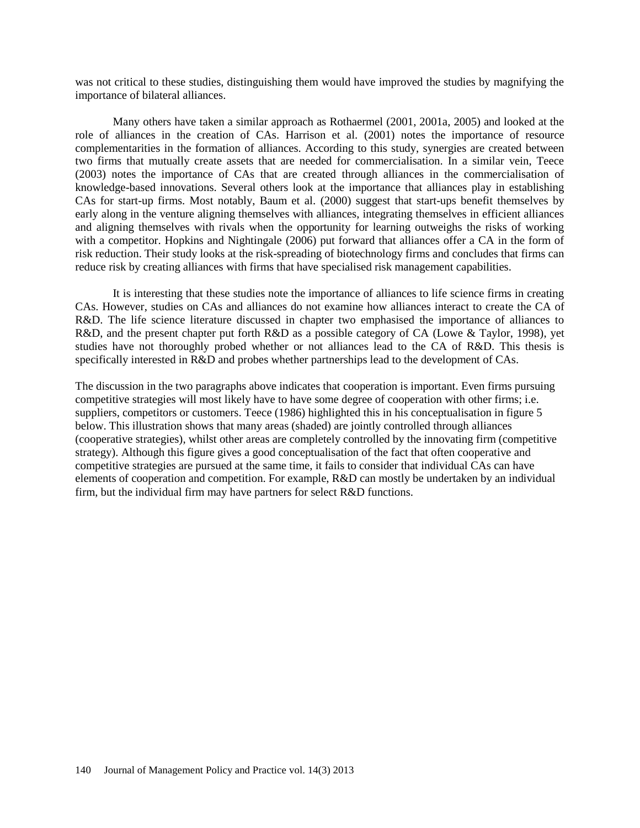was not critical to these studies, distinguishing them would have improved the studies by magnifying the importance of bilateral alliances.

Many others have taken a similar approach as Rothaermel (2001, 2001a, 2005) and looked at the role of alliances in the creation of CAs. Harrison et al. (2001) notes the importance of resource complementarities in the formation of alliances. According to this study, synergies are created between two firms that mutually create assets that are needed for commercialisation. In a similar vein, Teece (2003) notes the importance of CAs that are created through alliances in the commercialisation of knowledge-based innovations. Several others look at the importance that alliances play in establishing CAs for start-up firms. Most notably, Baum et al. (2000) suggest that start-ups benefit themselves by early along in the venture aligning themselves with alliances, integrating themselves in efficient alliances and aligning themselves with rivals when the opportunity for learning outweighs the risks of working with a competitor. Hopkins and Nightingale (2006) put forward that alliances offer a CA in the form of risk reduction. Their study looks at the risk-spreading of biotechnology firms and concludes that firms can reduce risk by creating alliances with firms that have specialised risk management capabilities.

It is interesting that these studies note the importance of alliances to life science firms in creating CAs. However, studies on CAs and alliances do not examine how alliances interact to create the CA of R&D. The life science literature discussed in chapter two emphasised the importance of alliances to R&D, and the present chapter put forth R&D as a possible category of CA (Lowe & Taylor, 1998), yet studies have not thoroughly probed whether or not alliances lead to the CA of R&D. This thesis is specifically interested in R&D and probes whether partnerships lead to the development of CAs.

The discussion in the two paragraphs above indicates that cooperation is important. Even firms pursuing competitive strategies will most likely have to have some degree of cooperation with other firms; i.e. suppliers, competitors or customers. Teece (1986) highlighted this in his conceptualisation in figure 5 below. This illustration shows that many areas (shaded) are jointly controlled through alliances (cooperative strategies), whilst other areas are completely controlled by the innovating firm (competitive strategy). Although this figure gives a good conceptualisation of the fact that often cooperative and competitive strategies are pursued at the same time, it fails to consider that individual CAs can have elements of cooperation and competition. For example, R&D can mostly be undertaken by an individual firm, but the individual firm may have partners for select R&D functions.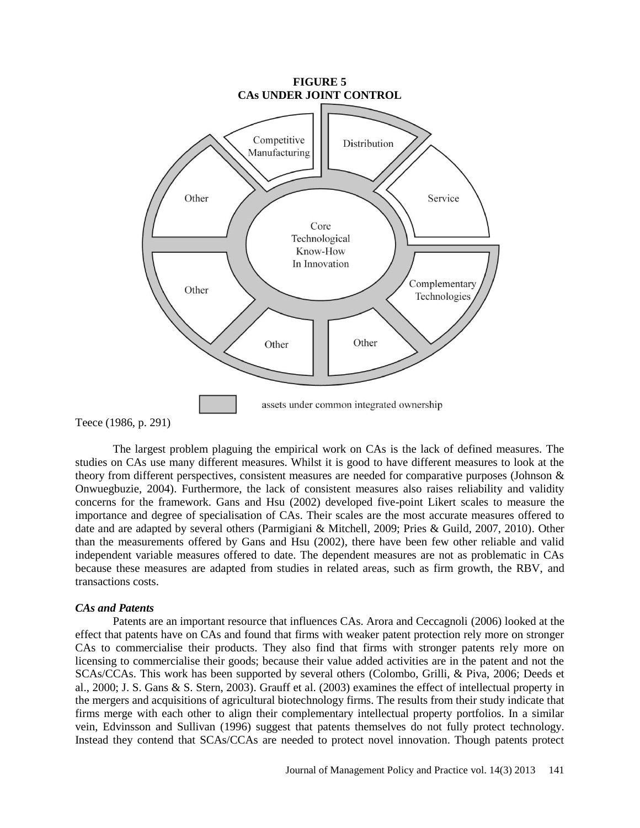

Teece (1986, p. 291)

The largest problem plaguing the empirical work on CAs is the lack of defined measures. The studies on CAs use many different measures. Whilst it is good to have different measures to look at the theory from different perspectives, consistent measures are needed for comparative purposes (Johnson & Onwuegbuzie, 2004). Furthermore, the lack of consistent measures also raises reliability and validity concerns for the framework. Gans and Hsu (2002) developed five-point Likert scales to measure the importance and degree of specialisation of CAs. Their scales are the most accurate measures offered to date and are adapted by several others (Parmigiani & Mitchell, 2009; Pries & Guild, 2007, 2010). Other than the measurements offered by Gans and Hsu (2002), there have been few other reliable and valid independent variable measures offered to date. The dependent measures are not as problematic in CAs because these measures are adapted from studies in related areas, such as firm growth, the RBV, and transactions costs.

### *CAs and Patents*

Patents are an important resource that influences CAs. Arora and Ceccagnoli (2006) looked at the effect that patents have on CAs and found that firms with weaker patent protection rely more on stronger CAs to commercialise their products. They also find that firms with stronger patents rely more on licensing to commercialise their goods; because their value added activities are in the patent and not the SCAs/CCAs. This work has been supported by several others (Colombo, Grilli, & Piva, 2006; Deeds et al., 2000; J. S. Gans & S. Stern, 2003). Grauff et al. (2003) examines the effect of intellectual property in the mergers and acquisitions of agricultural biotechnology firms. The results from their study indicate that firms merge with each other to align their complementary intellectual property portfolios. In a similar vein, Edvinsson and Sullivan (1996) suggest that patents themselves do not fully protect technology. Instead they contend that SCAs/CCAs are needed to protect novel innovation. Though patents protect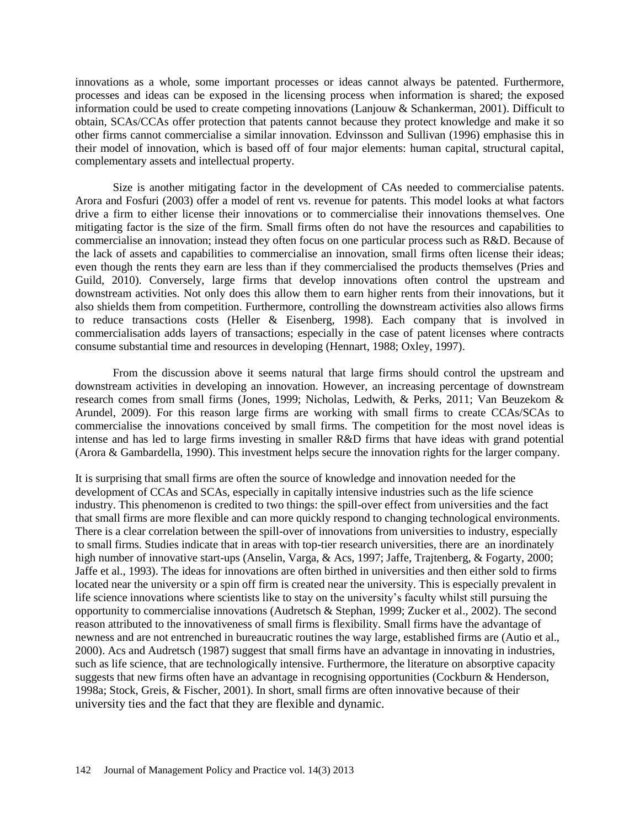innovations as a whole, some important processes or ideas cannot always be patented. Furthermore, processes and ideas can be exposed in the licensing process when information is shared; the exposed information could be used to create competing innovations (Lanjouw & Schankerman, 2001). Difficult to obtain, SCAs/CCAs offer protection that patents cannot because they protect knowledge and make it so other firms cannot commercialise a similar innovation. Edvinsson and Sullivan (1996) emphasise this in their model of innovation, which is based off of four major elements: human capital, structural capital, complementary assets and intellectual property.

Size is another mitigating factor in the development of CAs needed to commercialise patents. Arora and Fosfuri (2003) offer a model of rent vs. revenue for patents. This model looks at what factors drive a firm to either license their innovations or to commercialise their innovations themselves. One mitigating factor is the size of the firm. Small firms often do not have the resources and capabilities to commercialise an innovation; instead they often focus on one particular process such as R&D. Because of the lack of assets and capabilities to commercialise an innovation, small firms often license their ideas; even though the rents they earn are less than if they commercialised the products themselves (Pries and Guild, 2010). Conversely, large firms that develop innovations often control the upstream and downstream activities. Not only does this allow them to earn higher rents from their innovations, but it also shields them from competition. Furthermore, controlling the downstream activities also allows firms to reduce transactions costs (Heller & Eisenberg, 1998). Each company that is involved in commercialisation adds layers of transactions; especially in the case of patent licenses where contracts consume substantial time and resources in developing (Hennart, 1988; Oxley, 1997).

From the discussion above it seems natural that large firms should control the upstream and downstream activities in developing an innovation. However, an increasing percentage of downstream research comes from small firms (Jones, 1999; Nicholas, Ledwith, & Perks, 2011; Van Beuzekom & Arundel, 2009). For this reason large firms are working with small firms to create CCAs/SCAs to commercialise the innovations conceived by small firms. The competition for the most novel ideas is intense and has led to large firms investing in smaller R&D firms that have ideas with grand potential (Arora & Gambardella, 1990). This investment helps secure the innovation rights for the larger company.

It is surprising that small firms are often the source of knowledge and innovation needed for the development of CCAs and SCAs, especially in capitally intensive industries such as the life science industry. This phenomenon is credited to two things: the spill-over effect from universities and the fact that small firms are more flexible and can more quickly respond to changing technological environments. There is a clear correlation between the spill-over of innovations from universities to industry, especially to small firms. Studies indicate that in areas with top-tier research universities, there are an inordinately high number of innovative start-ups (Anselin, Varga, & Acs, 1997; Jaffe, Trajtenberg, & Fogarty, 2000; Jaffe et al., 1993). The ideas for innovations are often birthed in universities and then either sold to firms located near the university or a spin off firm is created near the university. This is especially prevalent in life science innovations where scientists like to stay on the university's faculty whilst still pursuing the opportunity to commercialise innovations (Audretsch & Stephan, 1999; Zucker et al., 2002). The second reason attributed to the innovativeness of small firms is flexibility. Small firms have the advantage of newness and are not entrenched in bureaucratic routines the way large, established firms are (Autio et al., 2000). Acs and Audretsch (1987) suggest that small firms have an advantage in innovating in industries, such as life science, that are technologically intensive. Furthermore, the literature on absorptive capacity suggests that new firms often have an advantage in recognising opportunities (Cockburn & Henderson, 1998a; Stock, Greis, & Fischer, 2001). In short, small firms are often innovative because of their university ties and the fact that they are flexible and dynamic.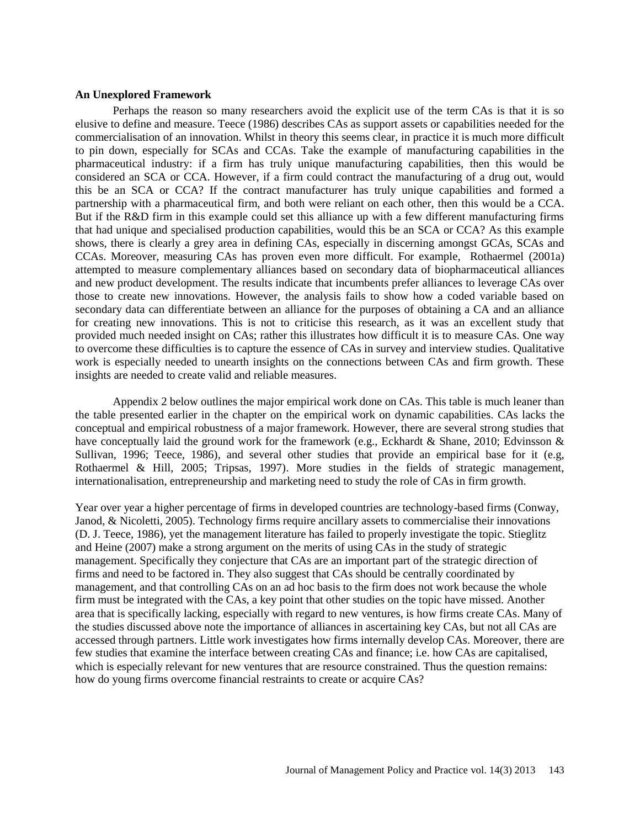### **An Unexplored Framework**

Perhaps the reason so many researchers avoid the explicit use of the term CAs is that it is so elusive to define and measure. Teece (1986) describes CAs as support assets or capabilities needed for the commercialisation of an innovation. Whilst in theory this seems clear, in practice it is much more difficult to pin down, especially for SCAs and CCAs. Take the example of manufacturing capabilities in the pharmaceutical industry: if a firm has truly unique manufacturing capabilities, then this would be considered an SCA or CCA. However, if a firm could contract the manufacturing of a drug out, would this be an SCA or CCA? If the contract manufacturer has truly unique capabilities and formed a partnership with a pharmaceutical firm, and both were reliant on each other, then this would be a CCA. But if the R&D firm in this example could set this alliance up with a few different manufacturing firms that had unique and specialised production capabilities, would this be an SCA or CCA? As this example shows, there is clearly a grey area in defining CAs, especially in discerning amongst GCAs, SCAs and CCAs. Moreover, measuring CAs has proven even more difficult. For example, Rothaermel (2001a) attempted to measure complementary alliances based on secondary data of biopharmaceutical alliances and new product development. The results indicate that incumbents prefer alliances to leverage CAs over those to create new innovations. However, the analysis fails to show how a coded variable based on secondary data can differentiate between an alliance for the purposes of obtaining a CA and an alliance for creating new innovations. This is not to criticise this research, as it was an excellent study that provided much needed insight on CAs; rather this illustrates how difficult it is to measure CAs. One way to overcome these difficulties is to capture the essence of CAs in survey and interview studies. Qualitative work is especially needed to unearth insights on the connections between CAs and firm growth. These insights are needed to create valid and reliable measures.

Appendix 2 below outlines the major empirical work done on CAs. This table is much leaner than the table presented earlier in the chapter on the empirical work on dynamic capabilities. CAs lacks the conceptual and empirical robustness of a major framework. However, there are several strong studies that have conceptually laid the ground work for the framework (e.g., Eckhardt & Shane, 2010; Edvinsson & Sullivan, 1996; Teece, 1986), and several other studies that provide an empirical base for it (e.g, Rothaermel & Hill, 2005; Tripsas, 1997). More studies in the fields of strategic management, internationalisation, entrepreneurship and marketing need to study the role of CAs in firm growth.

Year over year a higher percentage of firms in developed countries are technology-based firms (Conway, Janod, & Nicoletti, 2005). Technology firms require ancillary assets to commercialise their innovations (D. J. Teece, 1986), yet the management literature has failed to properly investigate the topic. Stieglitz and Heine (2007) make a strong argument on the merits of using CAs in the study of strategic management. Specifically they conjecture that CAs are an important part of the strategic direction of firms and need to be factored in. They also suggest that CAs should be centrally coordinated by management, and that controlling CAs on an ad hoc basis to the firm does not work because the whole firm must be integrated with the CAs, a key point that other studies on the topic have missed. Another area that is specifically lacking, especially with regard to new ventures, is how firms create CAs. Many of the studies discussed above note the importance of alliances in ascertaining key CAs, but not all CAs are accessed through partners. Little work investigates how firms internally develop CAs. Moreover, there are few studies that examine the interface between creating CAs and finance; i.e. how CAs are capitalised, which is especially relevant for new ventures that are resource constrained. Thus the question remains: how do young firms overcome financial restraints to create or acquire CAs?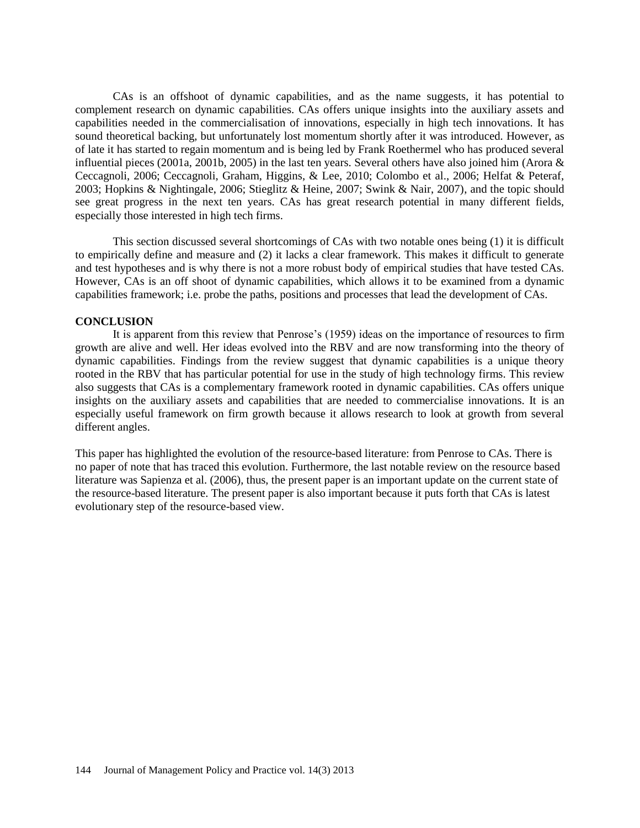CAs is an offshoot of dynamic capabilities, and as the name suggests, it has potential to complement research on dynamic capabilities. CAs offers unique insights into the auxiliary assets and capabilities needed in the commercialisation of innovations, especially in high tech innovations. It has sound theoretical backing, but unfortunately lost momentum shortly after it was introduced. However, as of late it has started to regain momentum and is being led by Frank Roethermel who has produced several influential pieces (2001a, 2001b, 2005) in the last ten years. Several others have also joined him (Arora  $\&$ Ceccagnoli, 2006; Ceccagnoli, Graham, Higgins, & Lee, 2010; Colombo et al., 2006; Helfat & Peteraf, 2003; Hopkins & Nightingale, 2006; Stieglitz & Heine, 2007; Swink & Nair, 2007), and the topic should see great progress in the next ten years. CAs has great research potential in many different fields, especially those interested in high tech firms.

This section discussed several shortcomings of CAs with two notable ones being (1) it is difficult to empirically define and measure and (2) it lacks a clear framework. This makes it difficult to generate and test hypotheses and is why there is not a more robust body of empirical studies that have tested CAs. However, CAs is an off shoot of dynamic capabilities, which allows it to be examined from a dynamic capabilities framework; i.e. probe the paths, positions and processes that lead the development of CAs.

### **CONCLUSION**

It is apparent from this review that Penrose's (1959) ideas on the importance of resources to firm growth are alive and well. Her ideas evolved into the RBV and are now transforming into the theory of dynamic capabilities. Findings from the review suggest that dynamic capabilities is a unique theory rooted in the RBV that has particular potential for use in the study of high technology firms. This review also suggests that CAs is a complementary framework rooted in dynamic capabilities. CAs offers unique insights on the auxiliary assets and capabilities that are needed to commercialise innovations. It is an especially useful framework on firm growth because it allows research to look at growth from several different angles.

This paper has highlighted the evolution of the resource-based literature: from Penrose to CAs. There is no paper of note that has traced this evolution. Furthermore, the last notable review on the resource based literature was Sapienza et al. (2006), thus, the present paper is an important update on the current state of the resource-based literature. The present paper is also important because it puts forth that CAs is latest evolutionary step of the resource-based view.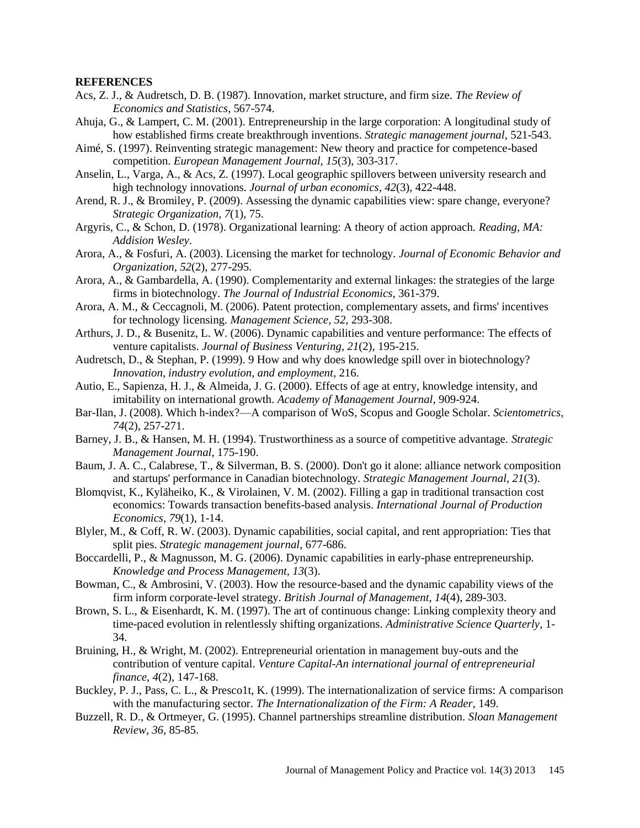#### **REFERENCES**

- Acs, Z. J., & Audretsch, D. B. (1987). Innovation, market structure, and firm size. *The Review of Economics and Statistics*, 567-574.
- Ahuja, G., & Lampert, C. M. (2001). Entrepreneurship in the large corporation: A longitudinal study of how established firms create breakthrough inventions. *Strategic management journal*, 521-543.
- Aimé, S. (1997). Reinventing strategic management: New theory and practice for competence-based competition. *European Management Journal, 15*(3), 303-317.
- Anselin, L., Varga, A., & Acs, Z. (1997). Local geographic spillovers between university research and high technology innovations. *Journal of urban economics, 42*(3), 422-448.
- Arend, R. J., & Bromiley, P. (2009). Assessing the dynamic capabilities view: spare change, everyone? *Strategic Organization, 7*(1), 75.
- Argyris, C., & Schon, D. (1978). Organizational learning: A theory of action approach. *Reading, MA: Addision Wesley*.
- Arora, A., & Fosfuri, A. (2003). Licensing the market for technology. *Journal of Economic Behavior and Organization, 52*(2), 277-295.
- Arora, A., & Gambardella, A. (1990). Complementarity and external linkages: the strategies of the large firms in biotechnology. *The Journal of Industrial Economics*, 361-379.
- Arora, A. M., & Ceccagnoli, M. (2006). Patent protection, complementary assets, and firms' incentives for technology licensing. *Management Science, 52*, 293-308.
- Arthurs, J. D., & Busenitz, L. W. (2006). Dynamic capabilities and venture performance: The effects of venture capitalists. *Journal of Business Venturing, 21*(2), 195-215.
- Audretsch, D., & Stephan, P. (1999). 9 How and why does knowledge spill over in biotechnology? *Innovation, industry evolution, and employment*, 216.
- Autio, E., Sapienza, H. J., & Almeida, J. G. (2000). Effects of age at entry, knowledge intensity, and imitability on international growth. *Academy of Management Journal*, 909-924.
- Bar-Ilan, J. (2008). Which h-index?—A comparison of WoS, Scopus and Google Scholar. *Scientometrics, 74*(2), 257-271.
- Barney, J. B., & Hansen, M. H. (1994). Trustworthiness as a source of competitive advantage. *Strategic Management Journal*, 175-190.
- Baum, J. A. C., Calabrese, T., & Silverman, B. S. (2000). Don't go it alone: alliance network composition and startups' performance in Canadian biotechnology. *Strategic Management Journal, 21*(3).
- Blomqvist, K., Kyläheiko, K., & Virolainen, V. M. (2002). Filling a gap in traditional transaction cost economics: Towards transaction benefits-based analysis. *International Journal of Production Economics, 79*(1), 1-14.
- Blyler, M., & Coff, R. W. (2003). Dynamic capabilities, social capital, and rent appropriation: Ties that split pies. *Strategic management journal*, 677-686.
- Boccardelli, P., & Magnusson, M. G. (2006). Dynamic capabilities in early-phase entrepreneurship. *Knowledge and Process Management, 13*(3).
- Bowman, C., & Ambrosini, V. (2003). How the resource-based and the dynamic capability views of the firm inform corporate-level strategy. *British Journal of Management, 14*(4), 289-303.
- Brown, S. L., & Eisenhardt, K. M. (1997). The art of continuous change: Linking complexity theory and time-paced evolution in relentlessly shifting organizations. *Administrative Science Quarterly*, 1- 34.
- Bruining, H., & Wright, M. (2002). Entrepreneurial orientation in management buy-outs and the contribution of venture capital. *Venture Capital-An international journal of entrepreneurial finance, 4*(2), 147-168.
- Buckley, P. J., Pass, C. L., & Presco1t, K. (1999). The internationalization of service firms: A comparison with the manufacturing sector. *The Internationalization of the Firm: A Reader*, 149.
- Buzzell, R. D., & Ortmeyer, G. (1995). Channel partnerships streamline distribution. *Sloan Management Review, 36*, 85-85.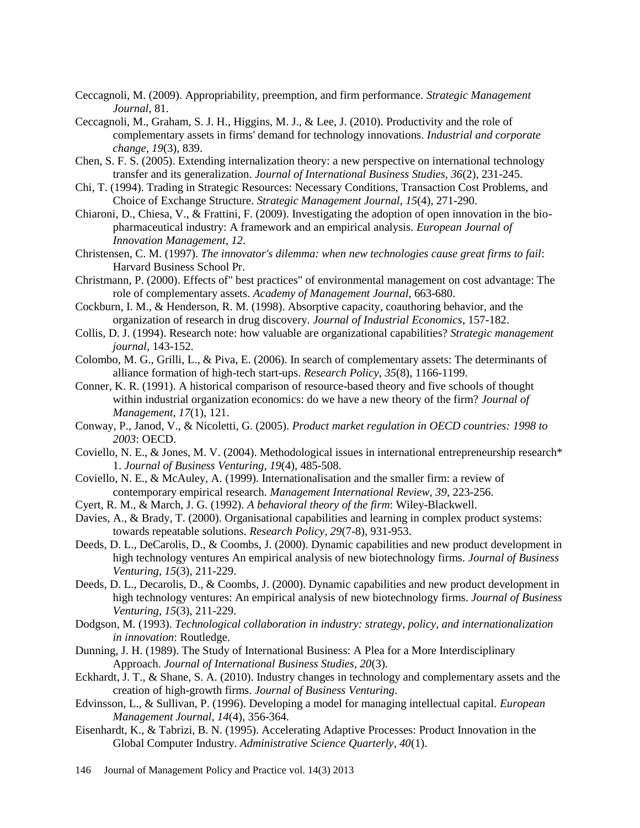- Ceccagnoli, M. (2009). Appropriability, preemption, and firm performance. *Strategic Management Journal*, 81.
- Ceccagnoli, M., Graham, S. J. H., Higgins, M. J., & Lee, J. (2010). Productivity and the role of complementary assets in firms' demand for technology innovations. *Industrial and corporate change, 19*(3), 839.
- Chen, S. F. S. (2005). Extending internalization theory: a new perspective on international technology transfer and its generalization. *Journal of International Business Studies, 36*(2), 231-245.
- Chi, T. (1994). Trading in Strategic Resources: Necessary Conditions, Transaction Cost Problems, and Choice of Exchange Structure. *Strategic Management Journal, 15*(4), 271-290.
- Chiaroni, D., Chiesa, V., & Frattini, F. (2009). Investigating the adoption of open innovation in the biopharmaceutical industry: A framework and an empirical analysis. *European Journal of Innovation Management, 12*.
- Christensen, C. M. (1997). *The innovator's dilemma: when new technologies cause great firms to fail*: Harvard Business School Pr.
- Christmann, P. (2000). Effects of" best practices" of environmental management on cost advantage: The role of complementary assets. *Academy of Management Journal*, 663-680.
- Cockburn, I. M., & Henderson, R. M. (1998). Absorptive capacity, coauthoring behavior, and the organization of research in drug discovery. *Journal of Industrial Economics*, 157-182.
- Collis, D. J. (1994). Research note: how valuable are organizational capabilities? *Strategic management journal*, 143-152.
- Colombo, M. G., Grilli, L., & Piva, E. (2006). In search of complementary assets: The determinants of alliance formation of high-tech start-ups. *Research Policy, 35*(8), 1166-1199.
- Conner, K. R. (1991). A historical comparison of resource-based theory and five schools of thought within industrial organization economics: do we have a new theory of the firm? *Journal of Management, 17*(1), 121.
- Conway, P., Janod, V., & Nicoletti, G. (2005). *Product market regulation in OECD countries: 1998 to 2003*: OECD.
- Coviello, N. E., & Jones, M. V. (2004). Methodological issues in international entrepreneurship research\* 1. *Journal of Business Venturing, 19*(4), 485-508.
- Coviello, N. E., & McAuley, A. (1999). Internationalisation and the smaller firm: a review of contemporary empirical research. *Management International Review, 39*, 223-256.
- Cyert, R. M., & March, J. G. (1992). *A behavioral theory of the firm*: Wiley-Blackwell.
- Davies, A., & Brady, T. (2000). Organisational capabilities and learning in complex product systems: towards repeatable solutions. *Research Policy, 29*(7-8), 931-953.
- Deeds, D. L., DeCarolis, D., & Coombs, J. (2000). Dynamic capabilities and new product development in high technology ventures An empirical analysis of new biotechnology firms. *Journal of Business Venturing, 15*(3), 211-229.
- Deeds, D. L., Decarolis, D., & Coombs, J. (2000). Dynamic capabilities and new product development in high technology ventures: An empirical analysis of new biotechnology firms. *Journal of Business Venturing, 15*(3), 211-229.
- Dodgson, M. (1993). *Technological collaboration in industry: strategy, policy, and internationalization in innovation*: Routledge.
- Dunning, J. H. (1989). The Study of International Business: A Plea for a More Interdisciplinary Approach. *Journal of International Business Studies, 20*(3).
- Eckhardt, J. T., & Shane, S. A. (2010). Industry changes in technology and complementary assets and the creation of high-growth firms. *Journal of Business Venturing*.
- Edvinsson, L., & Sullivan, P. (1996). Developing a model for managing intellectual capital. *European Management Journal, 14*(4), 356-364.
- Eisenhardt, K., & Tabrizi, B. N. (1995). Accelerating Adaptive Processes: Product Innovation in the Global Computer Industry. *Administrative Science Quarterly, 40*(1).
- 146 Journal of Management Policy and Practice vol. 14(3) 2013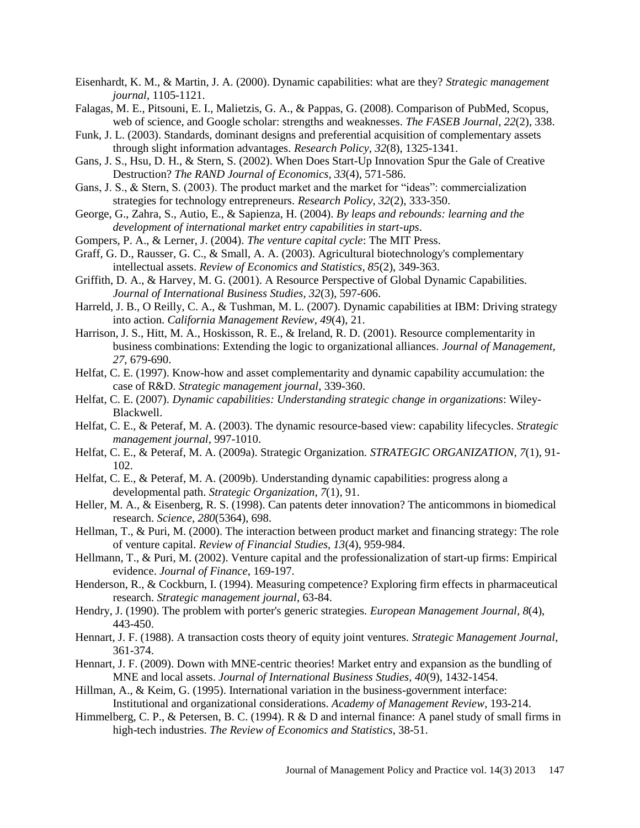- Eisenhardt, K. M., & Martin, J. A. (2000). Dynamic capabilities: what are they? *Strategic management journal*, 1105-1121.
- Falagas, M. E., Pitsouni, E. I., Malietzis, G. A., & Pappas, G. (2008). Comparison of PubMed, Scopus, web of science, and Google scholar: strengths and weaknesses. *The FASEB Journal, 22*(2), 338.
- Funk, J. L. (2003). Standards, dominant designs and preferential acquisition of complementary assets through slight information advantages. *Research Policy, 32*(8), 1325-1341.
- Gans, J. S., Hsu, D. H., & Stern, S. (2002). When Does Start-Up Innovation Spur the Gale of Creative Destruction? *The RAND Journal of Economics, 33*(4), 571-586.
- Gans, J. S., & Stern, S. (2003). The product market and the market for "ideas": commercialization strategies for technology entrepreneurs. *Research Policy, 32*(2), 333-350.
- George, G., Zahra, S., Autio, E., & Sapienza, H. (2004). *By leaps and rebounds: learning and the development of international market entry capabilities in start-ups*.
- Gompers, P. A., & Lerner, J. (2004). *The venture capital cycle*: The MIT Press.
- Graff, G. D., Rausser, G. C., & Small, A. A. (2003). Agricultural biotechnology's complementary intellectual assets. *Review of Economics and Statistics, 85*(2), 349-363.
- Griffith, D. A., & Harvey, M. G. (2001). A Resource Perspective of Global Dynamic Capabilities. *Journal of International Business Studies, 32*(3), 597-606.
- Harreld, J. B., O Reilly, C. A., & Tushman, M. L. (2007). Dynamic capabilities at IBM: Driving strategy into action. *California Management Review, 49*(4), 21.
- Harrison, J. S., Hitt, M. A., Hoskisson, R. E., & Ireland, R. D. (2001). Resource complementarity in business combinations: Extending the logic to organizational alliances. *Journal of Management, 27*, 679-690.
- Helfat, C. E. (1997). Know-how and asset complementarity and dynamic capability accumulation: the case of R&D. *Strategic management journal*, 339-360.
- Helfat, C. E. (2007). *Dynamic capabilities: Understanding strategic change in organizations*: Wiley-Blackwell.
- Helfat, C. E., & Peteraf, M. A. (2003). The dynamic resource-based view: capability lifecycles. *Strategic management journal*, 997-1010.
- Helfat, C. E., & Peteraf, M. A. (2009a). Strategic Organization. *STRATEGIC ORGANIZATION, 7*(1), 91- 102.
- Helfat, C. E., & Peteraf, M. A. (2009b). Understanding dynamic capabilities: progress along a developmental path. *Strategic Organization, 7*(1), 91.
- Heller, M. A., & Eisenberg, R. S. (1998). Can patents deter innovation? The anticommons in biomedical research. *Science, 280*(5364), 698.
- Hellman, T., & Puri, M. (2000). The interaction between product market and financing strategy: The role of venture capital. *Review of Financial Studies, 13*(4), 959-984.
- Hellmann, T., & Puri, M. (2002). Venture capital and the professionalization of start-up firms: Empirical evidence. *Journal of Finance*, 169-197.
- Henderson, R., & Cockburn, I. (1994). Measuring competence? Exploring firm effects in pharmaceutical research. *Strategic management journal*, 63-84.
- Hendry, J. (1990). The problem with porter's generic strategies. *European Management Journal, 8*(4), 443-450.
- Hennart, J. F. (1988). A transaction costs theory of equity joint ventures. *Strategic Management Journal*, 361-374.
- Hennart, J. F. (2009). Down with MNE-centric theories! Market entry and expansion as the bundling of MNE and local assets. *Journal of International Business Studies, 40*(9), 1432-1454.
- Hillman, A., & Keim, G. (1995). International variation in the business-government interface: Institutional and organizational considerations. *Academy of Management Review*, 193-214.
- Himmelberg, C. P., & Petersen, B. C. (1994). R & D and internal finance: A panel study of small firms in high-tech industries. *The Review of Economics and Statistics*, 38-51.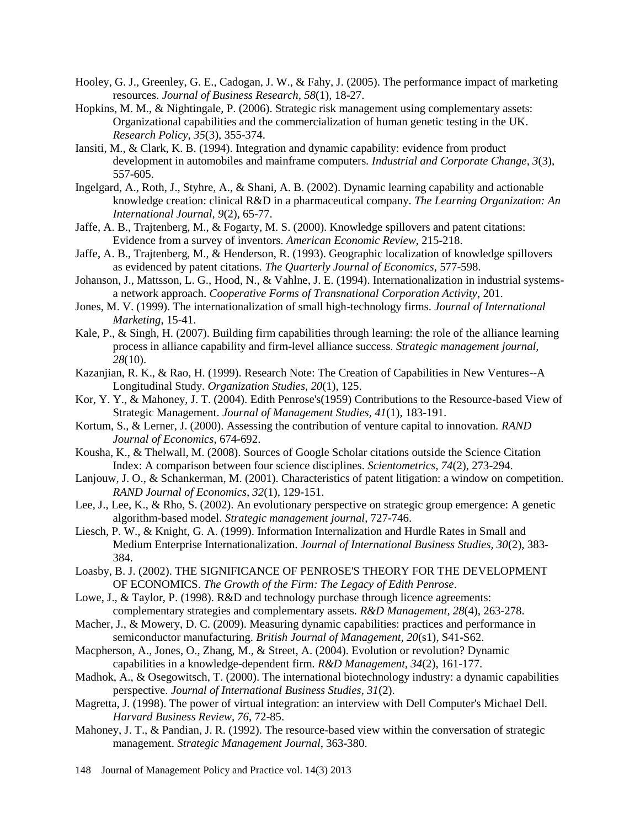- Hooley, G. J., Greenley, G. E., Cadogan, J. W., & Fahy, J. (2005). The performance impact of marketing resources. *Journal of Business Research, 58*(1), 18-27.
- Hopkins, M. M., & Nightingale, P. (2006). Strategic risk management using complementary assets: Organizational capabilities and the commercialization of human genetic testing in the UK. *Research Policy, 35*(3), 355-374.
- Iansiti, M., & Clark, K. B. (1994). Integration and dynamic capability: evidence from product development in automobiles and mainframe computers. *Industrial and Corporate Change, 3*(3), 557-605.
- Ingelgard, A., Roth, J., Styhre, A., & Shani, A. B. (2002). Dynamic learning capability and actionable knowledge creation: clinical R&D in a pharmaceutical company. *The Learning Organization: An International Journal, 9*(2), 65-77.
- Jaffe, A. B., Trajtenberg, M., & Fogarty, M. S. (2000). Knowledge spillovers and patent citations: Evidence from a survey of inventors. *American Economic Review*, 215-218.
- Jaffe, A. B., Trajtenberg, M., & Henderson, R. (1993). Geographic localization of knowledge spillovers as evidenced by patent citations. *The Quarterly Journal of Economics*, 577-598.
- Johanson, J., Mattsson, L. G., Hood, N., & Vahlne, J. E. (1994). Internationalization in industrial systemsa network approach. *Cooperative Forms of Transnational Corporation Activity*, 201.
- Jones, M. V. (1999). The internationalization of small high-technology firms. *Journal of International Marketing*, 15-41.
- Kale, P., & Singh, H. (2007). Building firm capabilities through learning: the role of the alliance learning process in alliance capability and firm-level alliance success. *Strategic management journal, 28*(10).
- Kazanjian, R. K., & Rao, H. (1999). Research Note: The Creation of Capabilities in New Ventures--A Longitudinal Study. *Organization Studies, 20*(1), 125.
- Kor, Y. Y., & Mahoney, J. T. (2004). Edith Penrose's(1959) Contributions to the Resource-based View of Strategic Management. *Journal of Management Studies, 41*(1), 183-191.
- Kortum, S., & Lerner, J. (2000). Assessing the contribution of venture capital to innovation. *RAND Journal of Economics*, 674-692.
- Kousha, K., & Thelwall, M. (2008). Sources of Google Scholar citations outside the Science Citation Index: A comparison between four science disciplines. *Scientometrics, 74*(2), 273-294.
- Lanjouw, J. O., & Schankerman, M. (2001). Characteristics of patent litigation: a window on competition. *RAND Journal of Economics, 32*(1), 129-151.
- Lee, J., Lee, K., & Rho, S. (2002). An evolutionary perspective on strategic group emergence: A genetic algorithm-based model. *Strategic management journal*, 727-746.
- Liesch, P. W., & Knight, G. A. (1999). Information Internalization and Hurdle Rates in Small and Medium Enterprise Internationalization. *Journal of International Business Studies, 30*(2), 383- 384.
- Loasby, B. J. (2002). THE SIGNIFICANCE OF PENROSE'S THEORY FOR THE DEVELOPMENT OF ECONOMICS. *The Growth of the Firm: The Legacy of Edith Penrose*.
- Lowe, J., & Taylor, P. (1998). R&D and technology purchase through licence agreements: complementary strategies and complementary assets. *R&D Management, 28*(4), 263-278.
- Macher, J., & Mowery, D. C. (2009). Measuring dynamic capabilities: practices and performance in semiconductor manufacturing. *British Journal of Management, 20*(s1), S41-S62.
- Macpherson, A., Jones, O., Zhang, M., & Street, A. (2004). Evolution or revolution? Dynamic capabilities in a knowledge-dependent firm. *R&D Management, 34*(2), 161-177.
- Madhok, A., & Osegowitsch, T. (2000). The international biotechnology industry: a dynamic capabilities perspective. *Journal of International Business Studies, 31*(2).
- Magretta, J. (1998). The power of virtual integration: an interview with Dell Computer's Michael Dell. *Harvard Business Review, 76*, 72-85.
- Mahoney, J. T., & Pandian, J. R. (1992). The resource-based view within the conversation of strategic management. *Strategic Management Journal*, 363-380.
- 148 Journal of Management Policy and Practice vol. 14(3) 2013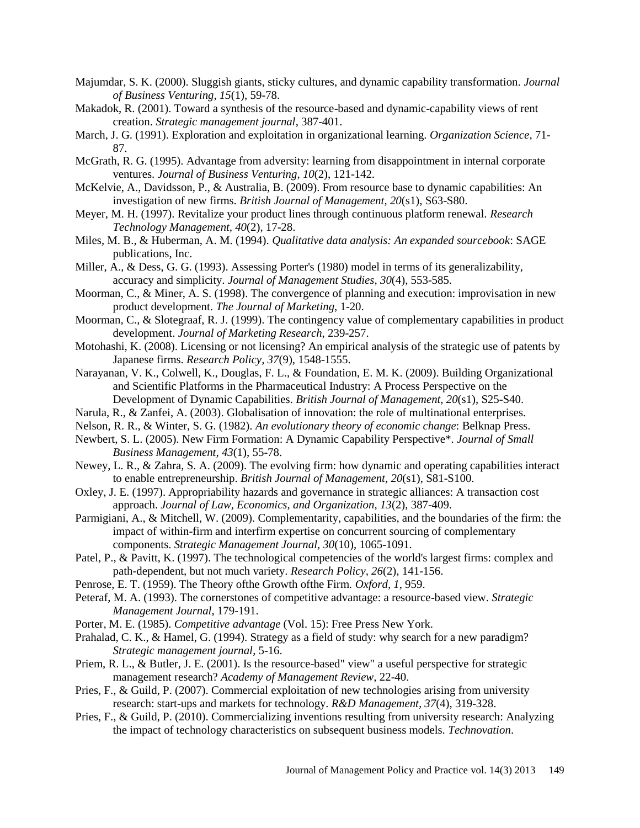- Majumdar, S. K. (2000). Sluggish giants, sticky cultures, and dynamic capability transformation. *Journal of Business Venturing, 15*(1), 59-78.
- Makadok, R. (2001). Toward a synthesis of the resource-based and dynamic-capability views of rent creation. *Strategic management journal*, 387-401.
- March, J. G. (1991). Exploration and exploitation in organizational learning. *Organization Science*, 71- 87.
- McGrath, R. G. (1995). Advantage from adversity: learning from disappointment in internal corporate ventures. *Journal of Business Venturing, 10*(2), 121-142.
- McKelvie, A., Davidsson, P., & Australia, B. (2009). From resource base to dynamic capabilities: An investigation of new firms. *British Journal of Management, 20*(s1), S63-S80.
- Meyer, M. H. (1997). Revitalize your product lines through continuous platform renewal. *Research Technology Management, 40*(2), 17-28.
- Miles, M. B., & Huberman, A. M. (1994). *Qualitative data analysis: An expanded sourcebook*: SAGE publications, Inc.
- Miller, A., & Dess, G. G. (1993). Assessing Porter's (1980) model in terms of its generalizability, accuracy and simplicity. *Journal of Management Studies, 30*(4), 553-585.
- Moorman, C., & Miner, A. S. (1998). The convergence of planning and execution: improvisation in new product development. *The Journal of Marketing*, 1-20.
- Moorman, C., & Slotegraaf, R. J. (1999). The contingency value of complementary capabilities in product development. *Journal of Marketing Research*, 239-257.
- Motohashi, K. (2008). Licensing or not licensing? An empirical analysis of the strategic use of patents by Japanese firms. *Research Policy, 37*(9), 1548-1555.
- Narayanan, V. K., Colwell, K., Douglas, F. L., & Foundation, E. M. K. (2009). Building Organizational and Scientific Platforms in the Pharmaceutical Industry: A Process Perspective on the Development of Dynamic Capabilities. *British Journal of Management, 20*(s1), S25-S40.
- Narula, R., & Zanfei, A. (2003). Globalisation of innovation: the role of multinational enterprises.
- Nelson, R. R., & Winter, S. G. (1982). *An evolutionary theory of economic change*: Belknap Press.
- Newbert, S. L. (2005). New Firm Formation: A Dynamic Capability Perspective\*. *Journal of Small Business Management, 43*(1), 55-78.
- Newey, L. R., & Zahra, S. A. (2009). The evolving firm: how dynamic and operating capabilities interact to enable entrepreneurship. *British Journal of Management, 20*(s1), S81-S100.
- Oxley, J. E. (1997). Appropriability hazards and governance in strategic alliances: A transaction cost approach. *Journal of Law, Economics, and Organization, 13*(2), 387-409.
- Parmigiani, A., & Mitchell, W. (2009). Complementarity, capabilities, and the boundaries of the firm: the impact of within-firm and interfirm expertise on concurrent sourcing of complementary components. *Strategic Management Journal, 30*(10), 1065-1091.
- Patel, P., & Pavitt, K. (1997). The technological competencies of the world's largest firms: complex and path-dependent, but not much variety. *Research Policy, 26*(2), 141-156.
- Penrose, E. T. (1959). The Theory ofthe Growth ofthe Firm. *Oxford, 1*, 959.
- Peteraf, M. A. (1993). The cornerstones of competitive advantage: a resource-based view. *Strategic Management Journal*, 179-191.
- Porter, M. E. (1985). *Competitive advantage* (Vol. 15): Free Press New York.
- Prahalad, C. K., & Hamel, G. (1994). Strategy as a field of study: why search for a new paradigm? *Strategic management journal*, 5-16.
- Priem, R. L., & Butler, J. E. (2001). Is the resource-based" view" a useful perspective for strategic management research? *Academy of Management Review*, 22-40.
- Pries, F., & Guild, P. (2007). Commercial exploitation of new technologies arising from university research: start-ups and markets for technology. *R&D Management, 37*(4), 319-328.
- Pries, F., & Guild, P. (2010). Commercializing inventions resulting from university research: Analyzing the impact of technology characteristics on subsequent business models. *Technovation*.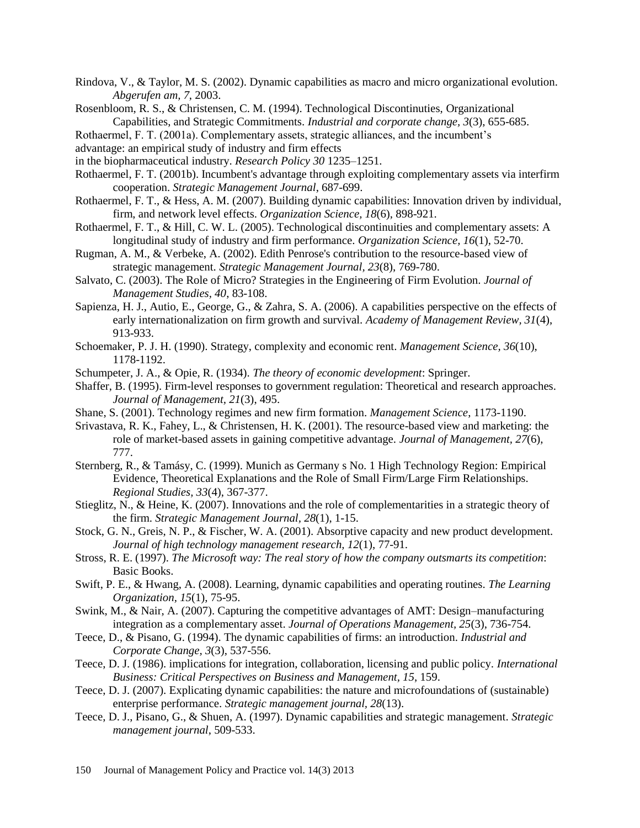- Rindova, V., & Taylor, M. S. (2002). Dynamic capabilities as macro and micro organizational evolution. *Abgerufen am, 7*, 2003.
- Rosenbloom, R. S., & Christensen, C. M. (1994). Technological Discontinuties, Organizational Capabilities, and Strategic Commitments. *Industrial and corporate change, 3*(3), 655-685.
- Rothaermel, F. T. (2001a). Complementary assets, strategic alliances, and the incumbent's
- advantage: an empirical study of industry and firm effects
- in the biopharmaceutical industry. *Research Policy 30* 1235–1251.
- Rothaermel, F. T. (2001b). Incumbent's advantage through exploiting complementary assets via interfirm cooperation. *Strategic Management Journal*, 687-699.
- Rothaermel, F. T., & Hess, A. M. (2007). Building dynamic capabilities: Innovation driven by individual, firm, and network level effects. *Organization Science, 18*(6), 898-921.
- Rothaermel, F. T., & Hill, C. W. L. (2005). Technological discontinuities and complementary assets: A longitudinal study of industry and firm performance. *Organization Science, 16*(1), 52-70.
- Rugman, A. M., & Verbeke, A. (2002). Edith Penrose's contribution to the resource-based view of strategic management. *Strategic Management Journal, 23*(8), 769-780.
- Salvato, C. (2003). The Role of Micro? Strategies in the Engineering of Firm Evolution. *Journal of Management Studies, 40*, 83-108.
- Sapienza, H. J., Autio, E., George, G., & Zahra, S. A. (2006). A capabilities perspective on the effects of early internationalization on firm growth and survival. *Academy of Management Review, 31*(4), 913-933.
- Schoemaker, P. J. H. (1990). Strategy, complexity and economic rent. *Management Science, 36*(10), 1178-1192.
- Schumpeter, J. A., & Opie, R. (1934). *The theory of economic development*: Springer.
- Shaffer, B. (1995). Firm-level responses to government regulation: Theoretical and research approaches. *Journal of Management, 21*(3), 495.
- Shane, S. (2001). Technology regimes and new firm formation. *Management Science*, 1173-1190.
- Srivastava, R. K., Fahey, L., & Christensen, H. K. (2001). The resource-based view and marketing: the role of market-based assets in gaining competitive advantage. *Journal of Management, 27*(6), 777.
- Sternberg, R., & Tamásy, C. (1999). Munich as Germany s No. 1 High Technology Region: Empirical Evidence, Theoretical Explanations and the Role of Small Firm/Large Firm Relationships. *Regional Studies, 33*(4), 367-377.
- Stieglitz, N., & Heine, K. (2007). Innovations and the role of complementarities in a strategic theory of the firm. *Strategic Management Journal, 28*(1), 1-15.
- Stock, G. N., Greis, N. P., & Fischer, W. A. (2001). Absorptive capacity and new product development. *Journal of high technology management research, 12*(1), 77-91.
- Stross, R. E. (1997). *The Microsoft way: The real story of how the company outsmarts its competition*: Basic Books.
- Swift, P. E., & Hwang, A. (2008). Learning, dynamic capabilities and operating routines. *The Learning Organization, 15*(1), 75-95.
- Swink, M., & Nair, A. (2007). Capturing the competitive advantages of AMT: Design–manufacturing integration as a complementary asset. *Journal of Operations Management, 25*(3), 736-754.
- Teece, D., & Pisano, G. (1994). The dynamic capabilities of firms: an introduction. *Industrial and Corporate Change, 3*(3), 537-556.
- Teece, D. J. (1986). implications for integration, collaboration, licensing and public policy. *International Business: Critical Perspectives on Business and Management, 15*, 159.
- Teece, D. J. (2007). Explicating dynamic capabilities: the nature and microfoundations of (sustainable) enterprise performance. *Strategic management journal, 28*(13).
- Teece, D. J., Pisano, G., & Shuen, A. (1997). Dynamic capabilities and strategic management. *Strategic management journal*, 509-533.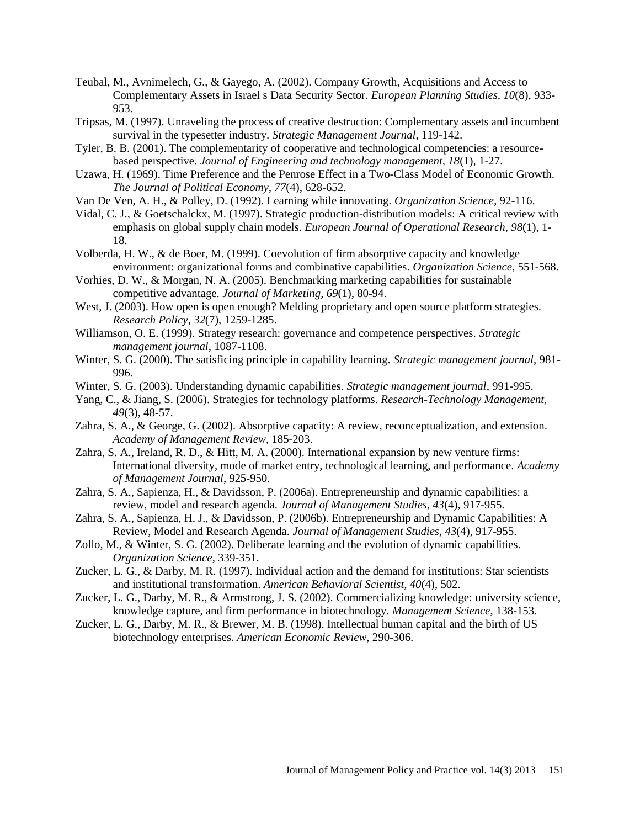- Teubal, M., Avnimelech, G., & Gayego, A. (2002). Company Growth, Acquisitions and Access to Complementary Assets in Israel s Data Security Sector. *European Planning Studies, 10*(8), 933- 953.
- Tripsas, M. (1997). Unraveling the process of creative destruction: Complementary assets and incumbent survival in the typesetter industry. *Strategic Management Journal*, 119-142.
- Tyler, B. B. (2001). The complementarity of cooperative and technological competencies: a resourcebased perspective. *Journal of Engineering and technology management, 18*(1), 1-27.
- Uzawa, H. (1969). Time Preference and the Penrose Effect in a Two-Class Model of Economic Growth. *The Journal of Political Economy, 77*(4), 628-652.
- Van De Ven, A. H., & Polley, D. (1992). Learning while innovating. *Organization Science*, 92-116.
- Vidal, C. J., & Goetschalckx, M. (1997). Strategic production-distribution models: A critical review with emphasis on global supply chain models. *European Journal of Operational Research, 98*(1), 1- 18.
- Volberda, H. W., & de Boer, M. (1999). Coevolution of firm absorptive capacity and knowledge environment: organizational forms and combinative capabilities. *Organization Science*, 551-568.
- Vorhies, D. W., & Morgan, N. A. (2005). Benchmarking marketing capabilities for sustainable competitive advantage. *Journal of Marketing, 69*(1), 80-94.
- West, J. (2003). How open is open enough? Melding proprietary and open source platform strategies. *Research Policy, 32*(7), 1259-1285.
- Williamson, O. E. (1999). Strategy research: governance and competence perspectives. *Strategic management journal*, 1087-1108.
- Winter, S. G. (2000). The satisficing principle in capability learning. *Strategic management journal*, 981- 996.
- Winter, S. G. (2003). Understanding dynamic capabilities. *Strategic management journal*, 991-995.
- Yang, C., & Jiang, S. (2006). Strategies for technology platforms. *Research-Technology Management, 49*(3), 48-57.
- Zahra, S. A., & George, G. (2002). Absorptive capacity: A review, reconceptualization, and extension. *Academy of Management Review*, 185-203.
- Zahra, S. A., Ireland, R. D., & Hitt, M. A. (2000). International expansion by new venture firms: International diversity, mode of market entry, technological learning, and performance. *Academy of Management Journal*, 925-950.
- Zahra, S. A., Sapienza, H., & Davidsson, P. (2006a). Entrepreneurship and dynamic capabilities: a review, model and research agenda. *Journal of Management Studies, 43*(4), 917-955.
- Zahra, S. A., Sapienza, H. J., & Davidsson, P. (2006b). Entrepreneurship and Dynamic Capabilities: A Review, Model and Research Agenda. *Journal of Management Studies, 43*(4), 917-955.
- Zollo, M., & Winter, S. G. (2002). Deliberate learning and the evolution of dynamic capabilities. *Organization Science*, 339-351.
- Zucker, L. G., & Darby, M. R. (1997). Individual action and the demand for institutions: Star scientists and institutional transformation. *American Behavioral Scientist, 40*(4), 502.
- Zucker, L. G., Darby, M. R., & Armstrong, J. S. (2002). Commercializing knowledge: university science, knowledge capture, and firm performance in biotechnology. *Management Science*, 138-153.
- Zucker, L. G., Darby, M. R., & Brewer, M. B. (1998). Intellectual human capital and the birth of US biotechnology enterprises. *American Economic Review*, 290-306.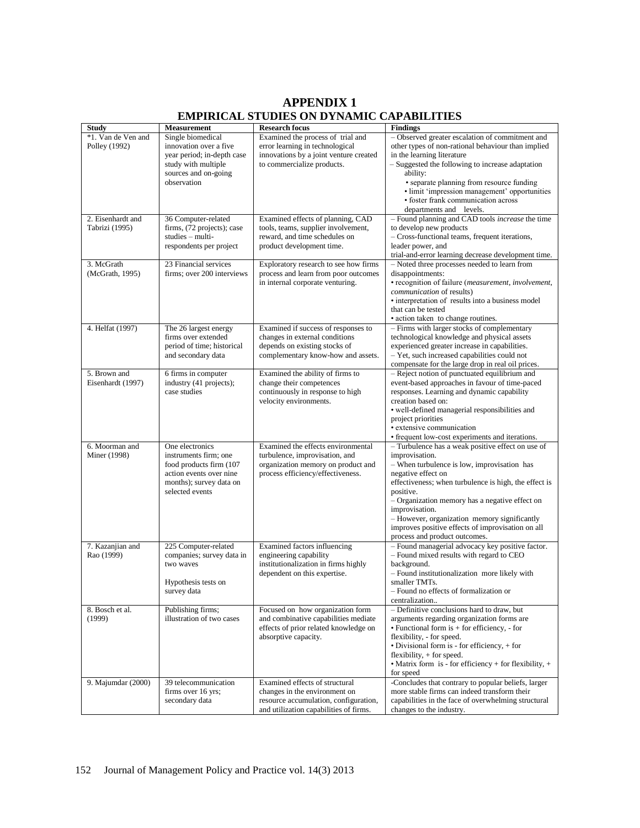# **APPENDIX 1 EMPIRICAL STUDIES ON DYNAMIC CAPABILITIES**

| <b>Study</b>       | <b>Measurement</b>         | <b>Research focus</b>                  | <b>Findings</b>                                                      |
|--------------------|----------------------------|----------------------------------------|----------------------------------------------------------------------|
| *1. Van de Ven and | Single biomedical          | Examined the process of trial and      | - Observed greater escalation of commitment and                      |
| Polley (1992)      | innovation over a five     | error learning in technological        | other types of non-rational behaviour than implied                   |
|                    | year period; in-depth case | innovations by a joint venture created | in the learning literature                                           |
|                    | study with multiple        | to commercialize products.             | - Suggested the following to increase adaptation                     |
|                    | sources and on-going       |                                        | ability:                                                             |
|                    | observation                |                                        | • separate planning from resource funding                            |
|                    |                            |                                        | • limit 'impression management' opportunities                        |
|                    |                            |                                        | · foster frank communication across                                  |
|                    |                            |                                        | departments and levels.                                              |
| 2. Eisenhardt and  | 36 Computer-related        | Examined effects of planning, CAD      | - Found planning and CAD tools <i>increase</i> the time              |
| Tabrizi (1995)     | firms, (72 projects); case | tools, teams, supplier involvement,    | to develop new products                                              |
|                    | studies - multi-           | reward, and time schedules on          | - Cross-functional teams, frequent iterations,                       |
|                    | respondents per project    | product development time.              | leader power, and                                                    |
|                    |                            |                                        | trial-and-error learning decrease development time.                  |
| 3. McGrath         | 23 Financial services      | Exploratory research to see how firms  | - Noted three processes needed to learn from                         |
| (McGrath, 1995)    | firms; over 200 interviews | process and learn from poor outcomes   | disappointments:                                                     |
|                    |                            | in internal corporate venturing.       | • recognition of failure ( <i>measurement</i> , <i>involvement</i> , |
|                    |                            |                                        | communication of results)                                            |
|                    |                            |                                        | • interpretation of results into a business model                    |
|                    |                            |                                        | that can be tested                                                   |
|                    |                            |                                        | • action taken to change routines.                                   |
| 4. Helfat (1997)   | The 26 largest energy      | Examined if success of responses to    | - Firms with larger stocks of complementary                          |
|                    | firms over extended        | changes in external conditions         | technological knowledge and physical assets                          |
|                    | period of time; historical | depends on existing stocks of          | experienced greater increase in capabilities.                        |
|                    | and secondary data         | complementary know-how and assets.     | - Yet, such increased capabilities could not                         |
|                    |                            |                                        | compensate for the large drop in real oil prices.                    |
| 5. Brown and       | 6 firms in computer        | Examined the ability of firms to       | - Reject notion of punctuated equilibrium and                        |
| Eisenhardt (1997)  | industry (41 projects);    | change their competences               | event-based approaches in favour of time-paced                       |
|                    | case studies               | continuously in response to high       | responses. Learning and dynamic capability                           |
|                    |                            | velocity environments.                 | creation based on:                                                   |
|                    |                            |                                        | • well-defined managerial responsibilities and                       |
|                    |                            |                                        | project priorities                                                   |
|                    |                            |                                        | · extensive communication                                            |
|                    |                            |                                        | • frequent low-cost experiments and iterations.                      |
| 6. Moorman and     | One electronics            | Examined the effects environmental     | - Turbulence has a weak positive effect on use of                    |
| Miner (1998)       | instruments firm; one      | turbulence, improvisation, and         | improvisation.                                                       |
|                    | food products firm (107)   | organization memory on product and     | - When turbulence is low, improvisation has                          |
|                    | action events over nine    | process efficiency/effectiveness.      | negative effect on                                                   |
|                    | months); survey data on    |                                        | effectiveness; when turbulence is high, the effect is                |
|                    | selected events            |                                        | positive.                                                            |
|                    |                            |                                        | - Organization memory has a negative effect on                       |
|                    |                            |                                        | improvisation.                                                       |
|                    |                            |                                        | - However, organization memory significantly                         |
|                    |                            |                                        | improves positive effects of improvisation on all                    |
|                    |                            |                                        | process and product outcomes.                                        |
| 7. Kazanjian and   | 225 Computer-related       | Examined factors influencing           | - Found managerial advocacy key positive factor.                     |
| Rao (1999)         | companies; survey data in  | engineering capability                 | - Found mixed results with regard to CEO                             |
|                    | two waves                  | institutionalization in firms highly   | background.                                                          |
|                    |                            | dependent on this expertise.           | - Found institutionalization more likely with                        |
|                    | Hypothesis tests on        |                                        | smaller TMTs.                                                        |
|                    | survey data                |                                        | - Found no effects of formalization or                               |
|                    |                            |                                        | centralization                                                       |
| 8. Bosch et al.    | Publishing firms;          | Focused on how organization form       | - Definitive conclusions hard to draw, but                           |
| (1999)             | illustration of two cases  | and combinative capabilities mediate   | arguments regarding organization forms are                           |
|                    |                            | effects of prior related knowledge on  | $\bullet$ Functional form is $+$ for efficiency, $-$ for             |
|                    |                            | absorptive capacity.                   | flexibility, - for speed.                                            |
|                    |                            |                                        | • Divisional form is - for efficiency, $+$ for                       |
|                    |                            |                                        | flexibility, $+$ for speed.                                          |
|                    |                            |                                        | • Matrix form is - for efficiency + for flexibility, $+$             |
|                    |                            |                                        | for speed                                                            |
| 9. Majumdar (2000) | 39 telecommunication       | Examined effects of structural         | -Concludes that contrary to popular beliefs, larger                  |
|                    | firms over 16 yrs;         | changes in the environment on          | more stable firms can indeed transform their                         |
|                    | secondary data             | resource accumulation, configuration,  | capabilities in the face of overwhelming structural                  |
|                    |                            | and utilization capabilities of firms. | changes to the industry.                                             |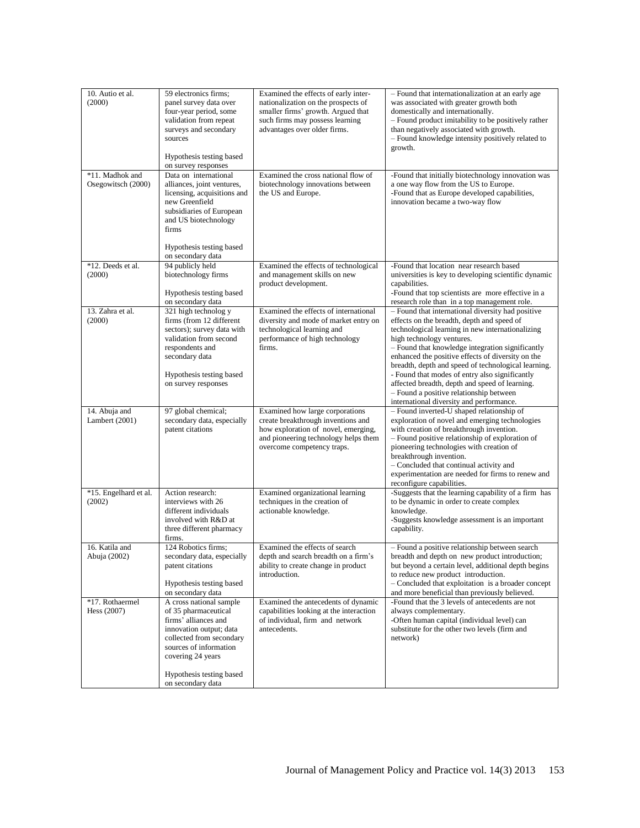| 10. Autio et al.<br>(2000)            | 59 electronics firms;<br>panel survey data over<br>four-year period, some<br>validation from repeat<br>surveys and secondary<br>sources<br>Hypothesis testing based<br>on survey responses                         | Examined the effects of early inter-<br>nationalization on the prospects of<br>smaller firms' growth. Argued that<br>such firms may possess learning<br>advantages over older firms. | - Found that internationalization at an early age<br>was associated with greater growth both<br>domestically and internationally.<br>- Found product imitability to be positively rather<br>than negatively associated with growth.<br>- Found knowledge intensity positively related to<br>growth.                                                                                                                                                                                                                                         |
|---------------------------------------|--------------------------------------------------------------------------------------------------------------------------------------------------------------------------------------------------------------------|--------------------------------------------------------------------------------------------------------------------------------------------------------------------------------------|---------------------------------------------------------------------------------------------------------------------------------------------------------------------------------------------------------------------------------------------------------------------------------------------------------------------------------------------------------------------------------------------------------------------------------------------------------------------------------------------------------------------------------------------|
| *11. Madhok and<br>Osegowitsch (2000) | Data on international<br>alliances, joint ventures,<br>licensing, acquisitions and<br>new Greenfield<br>subsidiaries of European<br>and US biotechnology<br>firms<br>Hypothesis testing based<br>on secondary data | Examined the cross national flow of<br>biotechnology innovations between<br>the US and Europe.                                                                                       | -Found that initially biotechnology innovation was<br>a one way flow from the US to Europe.<br>-Found that as Europe developed capabilities,<br>innovation became a two-way flow                                                                                                                                                                                                                                                                                                                                                            |
| *12. Deeds et al.<br>(2000)           | 94 publicly held<br>biotechnology firms<br>Hypothesis testing based<br>on secondary data                                                                                                                           | Examined the effects of technological<br>and management skills on new<br>product development.                                                                                        | -Found that location near research based<br>universities is key to developing scientific dynamic<br>capabilities.<br>-Found that top scientists are more effective in a<br>research role than in a top management role.                                                                                                                                                                                                                                                                                                                     |
| 13. Zahra et al.<br>(2000)            | 321 high technolog y<br>firms (from 12 different<br>sectors); survey data with<br>validation from second<br>respondents and<br>secondary data<br>Hypothesis testing based<br>on survey responses                   | Examined the effects of international<br>diversity and mode of market entry on<br>technological learning and<br>performance of high technology<br>firms.                             | - Found that international diversity had positive<br>effects on the breadth, depth and speed of<br>technological learning in new internationalizing<br>high technology ventures.<br>- Found that knowledge integration significantly<br>enhanced the positive effects of diversity on the<br>breadth, depth and speed of technological learning.<br>- Found that modes of entry also significantly<br>affected breadth, depth and speed of learning.<br>- Found a positive relationship between<br>international diversity and performance. |
| 14. Abuja and<br>Lambert $(2001)$     | 97 global chemical;<br>secondary data, especially<br>patent citations                                                                                                                                              | Examined how large corporations<br>create breakthrough inventions and<br>how exploration of novel, emerging,<br>and pioneering technology helps them<br>overcome competency traps.   | - Found inverted-U shaped relationship of<br>exploration of novel and emerging technologies<br>with creation of breakthrough invention.<br>- Found positive relationship of exploration of<br>pioneering technologies with creation of<br>breakthrough invention.<br>- Concluded that continual activity and<br>experimentation are needed for firms to renew and<br>reconfigure capabilities.                                                                                                                                              |
| *15. Engelhard et al.<br>(2002)       | Action research:<br>interviews with 26<br>different individuals<br>involved with R&D at<br>three different pharmacy<br>firms.                                                                                      | Examined organizational learning<br>techniques in the creation of<br>actionable knowledge.                                                                                           | -Suggests that the learning capability of a firm has<br>to be dynamic in order to create complex<br>knowledge.<br>-Suggests knowledge assessment is an important<br>capability.                                                                                                                                                                                                                                                                                                                                                             |
| 16. Katila and<br>Abuja (2002)        | 124 Robotics firms;<br>secondary data, especially<br>patent citations<br>Hypothesis testing based<br>on secondary data                                                                                             | Examined the effects of search<br>depth and search breadth on a firm's<br>ability to create change in product<br>introduction.                                                       | - Found a positive relationship between search<br>breadth and depth on new product introduction;<br>but beyond a certain level, additional depth begins<br>to reduce new product introduction.<br>- Concluded that exploitation is a broader concept<br>and more beneficial than previously believed.                                                                                                                                                                                                                                       |
| *17. Rothaermel<br>Hess (2007)        | A cross national sample<br>of 35 pharmaceutical<br>firms' alliances and<br>innovation output; data<br>collected from secondary<br>sources of information<br>covering 24 years                                      | Examined the antecedents of dynamic<br>capabilities looking at the interaction<br>of individual, firm and network<br>antecedents.                                                    | -Found that the 3 levels of antecedents are not<br>always complementary.<br>-Often human capital (individual level) can<br>substitute for the other two levels (firm and<br>network)                                                                                                                                                                                                                                                                                                                                                        |
|                                       | Hypothesis testing based<br>on secondary data                                                                                                                                                                      |                                                                                                                                                                                      |                                                                                                                                                                                                                                                                                                                                                                                                                                                                                                                                             |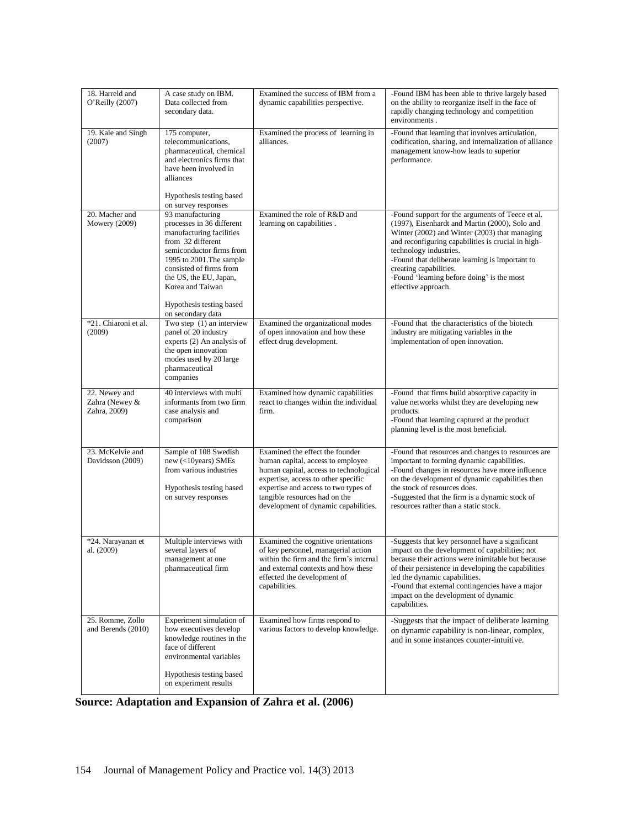| 18. Harreld and<br>O'Reilly (2007)              | A case study on IBM.<br>Data collected from<br>secondary data.                                                                                                                                                                  | Examined the success of IBM from a<br>dynamic capabilities perspective.                                                                                                                                                                                                | -Found IBM has been able to thrive largely based<br>on the ability to reorganize itself in the face of<br>rapidly changing technology and competition<br>environments.                                                                                                                                                                                                                |
|-------------------------------------------------|---------------------------------------------------------------------------------------------------------------------------------------------------------------------------------------------------------------------------------|------------------------------------------------------------------------------------------------------------------------------------------------------------------------------------------------------------------------------------------------------------------------|---------------------------------------------------------------------------------------------------------------------------------------------------------------------------------------------------------------------------------------------------------------------------------------------------------------------------------------------------------------------------------------|
| 19. Kale and Singh<br>(2007)                    | 175 computer,<br>telecommunications,<br>pharmaceutical, chemical<br>and electronics firms that<br>have been involved in<br>alliances                                                                                            | Examined the process of learning in<br>alliances.                                                                                                                                                                                                                      | -Found that learning that involves articulation,<br>codification, sharing, and internalization of alliance<br>management know-how leads to superior<br>performance.                                                                                                                                                                                                                   |
|                                                 | Hypothesis testing based<br>on survey responses                                                                                                                                                                                 |                                                                                                                                                                                                                                                                        |                                                                                                                                                                                                                                                                                                                                                                                       |
| 20. Macher and<br>Mowery $(2009)$               | 93 manufacturing<br>processes in 36 different<br>manufacturing facilities<br>from 32 different<br>semiconductor firms from<br>1995 to 2001. The sample<br>consisted of firms from<br>the US, the EU, Japan,<br>Korea and Taiwan | Examined the role of R&D and<br>learning on capabilities.                                                                                                                                                                                                              | -Found support for the arguments of Teece et al.<br>(1997), Eisenhardt and Martin (2000), Solo and<br>Winter (2002) and Winter (2003) that managing<br>and reconfiguring capabilities is crucial in high-<br>technology industries.<br>-Found that deliberate learning is important to<br>creating capabilities.<br>-Found 'learning before doing' is the most<br>effective approach. |
|                                                 | Hypothesis testing based<br>on secondary data                                                                                                                                                                                   |                                                                                                                                                                                                                                                                        |                                                                                                                                                                                                                                                                                                                                                                                       |
| *21. Chiaroni et al.<br>(2009)                  | Two step $(1)$ an interview<br>panel of 20 industry<br>experts (2) An analysis of<br>the open innovation<br>modes used by 20 large<br>pharmaceutical<br>companies                                                               | Examined the organizational modes<br>of open innovation and how these<br>effect drug development.                                                                                                                                                                      | -Found that the characteristics of the biotech<br>industry are mitigating variables in the<br>implementation of open innovation.                                                                                                                                                                                                                                                      |
| 22. Newey and<br>Zahra (Newey &<br>Zahra, 2009) | 40 interviews with multi<br>informants from two firm<br>case analysis and<br>comparison                                                                                                                                         | Examined how dynamic capabilities<br>react to changes within the individual<br>firm.                                                                                                                                                                                   | -Found that firms build absorptive capacity in<br>value networks whilst they are developing new<br>products.<br>-Found that learning captured at the product<br>planning level is the most beneficial.                                                                                                                                                                                |
| 23. McKelvie and<br>Davidsson (2009)            | Sample of 108 Swedish<br>$new$ (<10 years) SMEs<br>from various industries<br>Hypothesis testing based<br>on survey responses                                                                                                   | Examined the effect the founder<br>human capital, access to employee<br>human capital, access to technological<br>expertise, access to other specific<br>expertise and access to two types of<br>tangible resources had on the<br>development of dynamic capabilities. | -Found that resources and changes to resources are<br>important to forming dynamic capabilities.<br>-Found changes in resources have more influence<br>on the development of dynamic capabilities then<br>the stock of resources does.<br>-Suggested that the firm is a dynamic stock of<br>resources rather than a static stock.                                                     |
| *24. Narayanan et<br>al. (2009)                 | Multiple interviews with<br>several layers of<br>management at one<br>pharmaceutical firm                                                                                                                                       | Examined the cognitive orientations<br>of key personnel, managerial action<br>within the firm and the firm's internal<br>and external contexts and how these<br>effected the development of<br>capabilities.                                                           | -Suggests that key personnel have a significant<br>impact on the development of capabilities; not<br>because their actions were inimitable but because<br>of their persistence in developing the capabilities<br>led the dynamic capabilities.<br>-Found that external contingencies have a major<br>impact on the development of dynamic<br>capabilities.                            |
| 25. Romme, Zollo<br>and Berends (2010)          | Experiment simulation of<br>how executives develop<br>knowledge routines in the<br>face of different<br>environmental variables                                                                                                 | Examined how firms respond to<br>various factors to develop knowledge.                                                                                                                                                                                                 | -Suggests that the impact of deliberate learning<br>on dynamic capability is non-linear, complex,<br>and in some instances counter-intuitive.                                                                                                                                                                                                                                         |
|                                                 | Hypothesis testing based<br>on experiment results                                                                                                                                                                               |                                                                                                                                                                                                                                                                        |                                                                                                                                                                                                                                                                                                                                                                                       |

**Source: Adaptation and Expansion of Zahra et al. (2006)**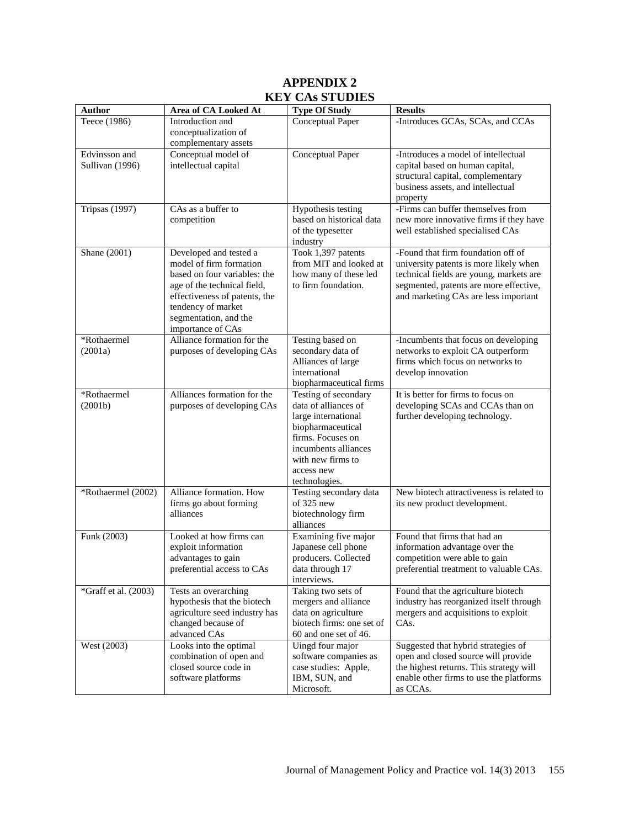# **APPENDIX 2 KEY CAs STUDIES**

| <b>Author</b>                    | Area of CA Looked At                                                                                                                                                                                                  | <b>Type Of Study</b>                                                                                                                                                                      | <b>Results</b>                                                                                                                                                                                            |
|----------------------------------|-----------------------------------------------------------------------------------------------------------------------------------------------------------------------------------------------------------------------|-------------------------------------------------------------------------------------------------------------------------------------------------------------------------------------------|-----------------------------------------------------------------------------------------------------------------------------------------------------------------------------------------------------------|
| Teece (1986)                     | Introduction and<br>conceptualization of<br>complementary assets                                                                                                                                                      | Conceptual Paper                                                                                                                                                                          | -Introduces GCAs, SCAs, and CCAs                                                                                                                                                                          |
| Edvinsson and<br>Sullivan (1996) | Conceptual model of<br>intellectual capital                                                                                                                                                                           | Conceptual Paper                                                                                                                                                                          | -Introduces a model of intellectual<br>capital based on human capital,<br>structural capital, complementary<br>business assets, and intellectual<br>property                                              |
| <b>Tripsas</b> (1997)            | CAs as a buffer to<br>competition                                                                                                                                                                                     | Hypothesis testing<br>based on historical data<br>of the typesetter<br>industry                                                                                                           | -Firms can buffer themselves from<br>new more innovative firms if they have<br>well established specialised CAs                                                                                           |
| Shane (2001)                     | Developed and tested a<br>model of firm formation<br>based on four variables: the<br>age of the technical field,<br>effectiveness of patents, the<br>tendency of market<br>segmentation, and the<br>importance of CAs | Took 1,397 patents<br>from MIT and looked at<br>how many of these led<br>to firm foundation.                                                                                              | -Found that firm foundation off of<br>university patents is more likely when<br>technical fields are young, markets are<br>segmented, patents are more effective,<br>and marketing CAs are less important |
| *Rothaermel<br>(2001a)           | Alliance formation for the<br>purposes of developing CAs                                                                                                                                                              | Testing based on<br>secondary data of<br>Alliances of large<br>international<br>biopharmaceutical firms                                                                                   | -Incumbents that focus on developing<br>networks to exploit CA outperform<br>firms which focus on networks to<br>develop innovation                                                                       |
| *Rothaermel<br>(2001b)           | Alliances formation for the<br>purposes of developing CAs                                                                                                                                                             | Testing of secondary<br>data of alliances of<br>large international<br>biopharmaceutical<br>firms. Focuses on<br>incumbents alliances<br>with new firms to<br>access new<br>technologies. | It is better for firms to focus on<br>developing SCAs and CCAs than on<br>further developing technology.                                                                                                  |
| *Rothaermel (2002)               | Alliance formation. How<br>firms go about forming<br>alliances                                                                                                                                                        | Testing secondary data<br>of $325$ new<br>biotechnology firm<br>alliances                                                                                                                 | New biotech attractiveness is related to<br>its new product development.                                                                                                                                  |
| Funk (2003)                      | Looked at how firms can<br>exploit information<br>advantages to gain<br>preferential access to CAs                                                                                                                    | Examining five major<br>Japanese cell phone<br>producers. Collected<br>data through 17<br>interviews.                                                                                     | Found that firms that had an<br>information advantage over the<br>competition were able to gain<br>preferential treatment to valuable CAs.                                                                |
| *Graff et al. (2003)             | Tests an overarching<br>hypothesis that the biotech<br>agriculture seed industry has<br>changed because of<br>advanced CAs                                                                                            | Taking two sets of<br>mergers and alliance<br>data on agriculture<br>biotech firms: one set of<br>60 and one set of 46.                                                                   | Found that the agriculture biotech<br>industry has reorganized itself through<br>mergers and acquisitions to exploit<br>CAs.                                                                              |
| West (2003)                      | Looks into the optimal<br>combination of open and<br>closed source code in<br>software platforms                                                                                                                      | Uingd four major<br>software companies as<br>case studies: Apple,<br>IBM, SUN, and<br>Microsoft.                                                                                          | Suggested that hybrid strategies of<br>open and closed source will provide<br>the highest returns. This strategy will<br>enable other firms to use the platforms<br>as CCAs.                              |